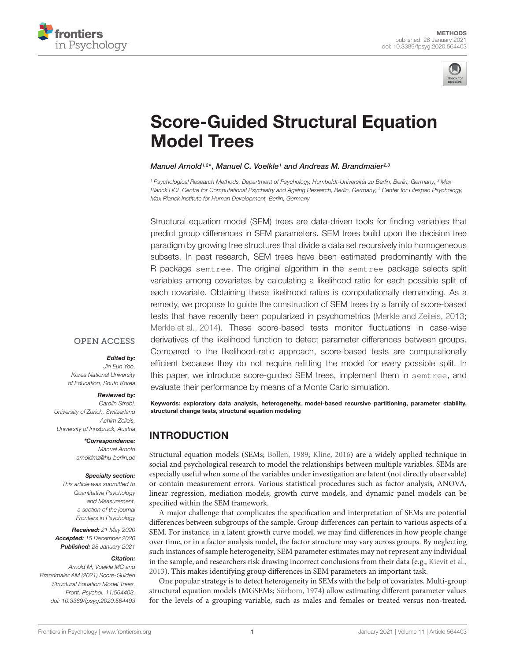



# [Score-Guided Structural Equation](https://www.frontiersin.org/articles/10.3389/fpsyg.2020.564403/full) Model Trees

#### Manuel Arnold<sup>1,2\*</sup>, Manuel C. Voelkle<sup>1</sup> and Andreas M. Brandmaier<sup>2,3</sup>

<sup>1</sup> Psychological Research Methods, Department of Psychology, Humboldt-Universität zu Berlin, Berlin, Germany, <sup>2</sup> Max Planck UCL Centre for Computational Psychiatry and Ageing Research, Berlin, Germany, <sup>3</sup> Center for Lifespan Psychology, Max Planck Institute for Human Development, Berlin, Germany

Structural equation model (SEM) trees are data-driven tools for finding variables that predict group differences in SEM parameters. SEM trees build upon the decision tree paradigm by growing tree structures that divide a data set recursively into homogeneous subsets. In past research, SEM trees have been estimated predominantly with the R package semtree. The original algorithm in the semtree package selects split variables among covariates by calculating a likelihood ratio for each possible split of each covariate. Obtaining these likelihood ratios is computationally demanding. As a remedy, we propose to guide the construction of SEM trees by a family of score-based tests that have recently been popularized in psychometrics [\(Merkle and Zeileis,](#page-16-0) [2013;](#page-16-0) [Merkle et al.,](#page-16-1) [2014\)](#page-16-1). These score-based tests monitor fluctuations in case-wise derivatives of the likelihood function to detect parameter differences between groups. Compared to the likelihood-ratio approach, score-based tests are computationally efficient because they do not require refitting the model for every possible split. In this paper, we introduce score-guided SEM trees, implement them in semtree, and evaluate their performance by means of a Monte Carlo simulation.

Keywords: exploratory data analysis, heterogeneity, model-based recursive partitioning, parameter stability, structural change tests, structural equation modeling

## INTRODUCTION

Structural equation models (SEMs; [Bollen,](#page-16-2) [1989;](#page-16-2) [Kline,](#page-16-3) [2016\)](#page-16-3) are a widely applied technique in social and psychological research to model the relationships between multiple variables. SEMs are especially useful when some of the variables under investigation are latent (not directly observable) or contain measurement errors. Various statistical procedures such as factor analysis, ANOVA, linear regression, mediation models, growth curve models, and dynamic panel models can be specified within the SEM framework.

A major challenge that complicates the specification and interpretation of SEMs are potential differences between subgroups of the sample. Group differences can pertain to various aspects of a SEM. For instance, in a latent growth curve model, we may find differences in how people change over time, or in a factor analysis model, the factor structure may vary across groups. By neglecting such instances of sample heterogeneity, SEM parameter estimates may not represent any individual in the sample, and researchers risk drawing incorrect conclusions from their data (e.g., [Kievit et al.,](#page-16-4) [2013\)](#page-16-4). This makes identifying group differences in SEM parameters an important task.

One popular strategy is to detect heterogeneity in SEMs with the help of covariates. Multi-group structural equation models (MGSEMs; [Sörbom,](#page-17-0) [1974\)](#page-17-0) allow estimating different parameter values for the levels of a grouping variable, such as males and females or treated versus non-treated.

## **OPEN ACCESS**

#### Edited by:

Jin Eun Yoo, Korea National University of Education, South Korea

#### Reviewed by:

Carolin Strobl, University of Zurich, Switzerland Achim Zeileis, University of Innsbruck, Austria

> \*Correspondence: Manuel Arnold arnoldmz@hu-berlin.de

#### Specialty section:

This article was submitted to Quantitative Psychology and Measurement, a section of the journal Frontiers in Psychology

Received: 21 May 2020 Accepted: 15 December 2020 Published: 28 January 2021

#### Citation:

Arnold M, Voelkle MC and Brandmaier AM (2021) Score-Guided Structural Fquation Model Trees. Front. Psychol. 11:564403. doi: [10.3389/fpsyg.2020.564403](https://doi.org/10.3389/fpsyg.2020.564403)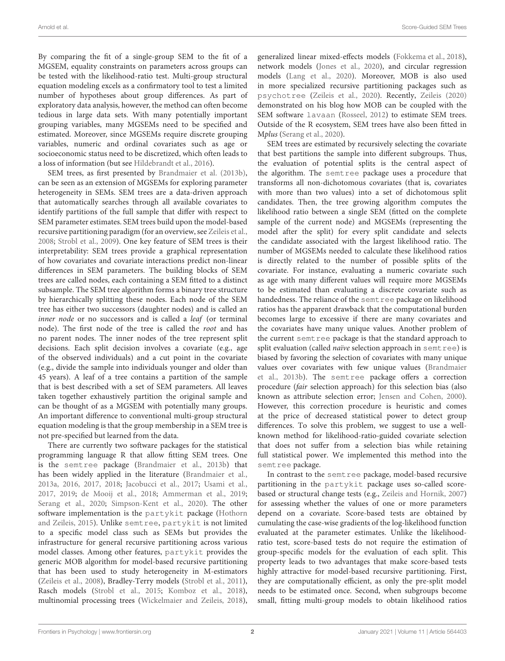By comparing the fit of a single-group SEM to the fit of a MGSEM, equality constraints on parameters across groups can be tested with the likelihood-ratio test. Multi-group structural equation modeling excels as a confirmatory tool to test a limited number of hypotheses about group differences. As part of exploratory data analysis, however, the method can often become tedious in large data sets. With many potentially important grouping variables, many MGSEMs need to be specified and estimated. Moreover, since MGSEMs require discrete grouping variables, numeric and ordinal covariates such as age or socioeconomic status need to be discretized, which often leads to a loss of information (but see [Hildebrandt et al.,](#page-16-5) [2016\)](#page-16-5).

SEM trees, as first presented by [Brandmaier et al.](#page-16-6) [\(2013b\)](#page-16-6), can be seen as an extension of MGSEMs for exploring parameter heterogeneity in SEMs. SEM trees are a data-driven approach that automatically searches through all available covariates to identify partitions of the full sample that differ with respect to SEM parameter estimates. SEM trees build upon the model-based recursive partitioning paradigm (for an overview, see [Zeileis et al.,](#page-17-1) [2008;](#page-17-1) [Strobl et al.,](#page-17-2) [2009\)](#page-17-2). One key feature of SEM trees is their interpretability: SEM trees provide a graphical representation of how covariates and covariate interactions predict non-linear differences in SEM parameters. The building blocks of SEM trees are called nodes, each containing a SEM fitted to a distinct subsample. The SEM tree algorithm forms a binary tree structure by hierarchically splitting these nodes. Each node of the SEM tree has either two successors (daughter nodes) and is called an inner node or no successors and is called a leaf (or terminal node). The first node of the tree is called the root and has no parent nodes. The inner nodes of the tree represent split decisions. Each split decision involves a covariate (e.g., age of the observed individuals) and a cut point in the covariate (e.g., divide the sample into individuals younger and older than 45 years). A leaf of a tree contains a partition of the sample that is best described with a set of SEM parameters. All leaves taken together exhaustively partition the original sample and can be thought of as a MGSEM with potentially many groups. An important difference to conventional multi-group structural equation modeling is that the group membership in a SEM tree is not pre-specified but learned from the data.

There are currently two software packages for the statistical programming language R that allow fitting SEM trees. One is the semtree package [\(Brandmaier et al.,](#page-16-6) [2013b\)](#page-16-6) that has been widely applied in the literature [\(Brandmaier et al.,](#page-16-7) [2013a,](#page-16-7) [2016,](#page-16-8) [2017,](#page-16-9) [2018;](#page-16-10) [Jacobucci et al.,](#page-16-11) [2017;](#page-16-11) [Usami et al.,](#page-17-3) [2017,](#page-17-3) [2019;](#page-17-4) [de Mooij et al.,](#page-16-12) [2018;](#page-16-12) [Ammerman et al.,](#page-16-13) [2019;](#page-16-13) [Serang et al.,](#page-17-5) [2020;](#page-17-5) [Simpson-Kent et al.,](#page-17-6) [2020\)](#page-17-6). The other software implementation is the partykit package [\(Hothorn](#page-16-14) [and Zeileis,](#page-16-14) [2015\)](#page-16-14). Unlike semtree, partykit is not limited to a specific model class such as SEMs but provides the infrastructure for general recursive partitioning across various model classes. Among other features, partykit provides the generic MOB algorithm for model-based recursive partitioning that has been used to study heterogeneity in M-estimators [\(Zeileis et al.,](#page-17-1) [2008\)](#page-17-1), Bradley-Terry models [\(Strobl et al.,](#page-17-7) [2011\)](#page-17-7), Rasch models [\(Strobl et al.,](#page-17-8) [2015;](#page-17-8) [Komboz et al.,](#page-16-15) [2018\)](#page-16-15), multinomial processing trees [\(Wickelmaier and Zeileis,](#page-17-9) [2018\)](#page-17-9),

generalized linear mixed-effects models [\(Fokkema et al.,](#page-16-16) [2018\)](#page-16-16), network models [\(Jones et al.,](#page-16-17) [2020\)](#page-16-17), and circular regression models [\(Lang et al.,](#page-16-18) [2020\)](#page-16-18). Moreover, MOB is also used in more specialized recursive partitioning packages such as psychotree [\(Zeileis et al.,](#page-17-10) [2020\)](#page-17-10). Recently, [Zeileis](#page-17-11) [\(2020\)](#page-17-11) demonstrated on his blog how MOB can be coupled with the SEM software lavaan [\(Rosseel,](#page-17-12) [2012\)](#page-17-12) to estimate SEM trees. Outside of the R ecosystem, SEM trees have also been fitted in Mplus [\(Serang et al.,](#page-17-5) [2020\)](#page-17-5).

SEM trees are estimated by recursively selecting the covariate that best partitions the sample into different subgroups. Thus, the evaluation of potential splits is the central aspect of the algorithm. The semtree package uses a procedure that transforms all non-dichotomous covariates (that is, covariates with more than two values) into a set of dichotomous split candidates. Then, the tree growing algorithm computes the likelihood ratio between a single SEM (fitted on the complete sample of the current node) and MGSEMs (representing the model after the split) for every split candidate and selects the candidate associated with the largest likelihood ratio. The number of MGSEMs needed to calculate these likelihood ratios is directly related to the number of possible splits of the covariate. For instance, evaluating a numeric covariate such as age with many different values will require more MGSEMs to be estimated than evaluating a discrete covariate such as handedness. The reliance of the semtree package on likelihood ratios has the apparent drawback that the computational burden becomes large to excessive if there are many covariates and the covariates have many unique values. Another problem of the current semtree package is that the standard approach to split evaluation (called *naïve* selection approach in semt ree) is biased by favoring the selection of covariates with many unique values over covariates with few unique values [\(Brandmaier](#page-16-6) [et al.,](#page-16-6) [2013b\)](#page-16-6). The semtree package offers a correction procedure (fair selection approach) for this selection bias (also known as attribute selection error; [Jensen and Cohen,](#page-16-19) [2000\)](#page-16-19). However, this correction procedure is heuristic and comes at the price of decreased statistical power to detect group differences. To solve this problem, we suggest to use a wellknown method for likelihood-ratio-guided covariate selection that does not suffer from a selection bias while retaining full statistical power. We implemented this method into the semtree package.

In contrast to the semtree package, model-based recursive partitioning in the partykit package uses so-called scorebased or structural change tests (e.g., [Zeileis and Hornik,](#page-17-13) [2007\)](#page-17-13) for assessing whether the values of one or more parameters depend on a covariate. Score-based tests are obtained by cumulating the case-wise gradients of the log-likelihood function evaluated at the parameter estimates. Unlike the likelihoodratio test, score-based tests do not require the estimation of group-specific models for the evaluation of each split. This property leads to two advantages that make score-based tests highly attractive for model-based recursive partitioning. First, they are computationally efficient, as only the pre-split model needs to be estimated once. Second, when subgroups become small, fitting multi-group models to obtain likelihood ratios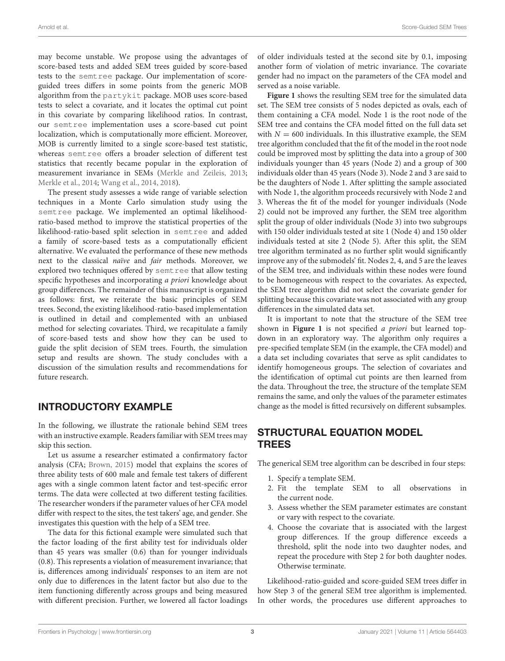may become unstable. We propose using the advantages of score-based tests and added SEM trees guided by score-based tests to the semtree package. Our implementation of scoreguided trees differs in some points from the generic MOB algorithm from the partykit package. MOB uses score-based tests to select a covariate, and it locates the optimal cut point in this covariate by comparing likelihood ratios. In contrast, our semtree implementation uses a score-based cut point localization, which is computationally more efficient. Moreover, MOB is currently limited to a single score-based test statistic, whereas semtree offers a broader selection of different test statistics that recently became popular in the exploration of measurement invariance in SEMs [\(Merkle and Zeileis,](#page-16-0) [2013;](#page-16-0) [Merkle et al.,](#page-16-1) [2014;](#page-16-1) [Wang et al.,](#page-17-14) [2014,](#page-17-14) [2018\)](#page-17-15).

The present study assesses a wide range of variable selection techniques in a Monte Carlo simulation study using the semtree package. We implemented an optimal likelihoodratio-based method to improve the statistical properties of the likelihood-ratio-based split selection in semtree and added a family of score-based tests as a computationally efficient alternative. We evaluated the performance of these new methods next to the classical naïve and fair methods. Moreover, we explored two techniques offered by semtree that allow testing specific hypotheses and incorporating a priori knowledge about group differences. The remainder of this manuscript is organized as follows: first, we reiterate the basic principles of SEM trees. Second, the existing likelihood-ratio-based implementation is outlined in detail and complemented with an unbiased method for selecting covariates. Third, we recapitulate a family of score-based tests and show how they can be used to guide the split decision of SEM trees. Fourth, the simulation setup and results are shown. The study concludes with a discussion of the simulation results and recommendations for future research.

## INTRODUCTORY EXAMPLE

In the following, we illustrate the rationale behind SEM trees with an instructive example. Readers familiar with SEM trees may skip this section.

Let us assume a researcher estimated a confirmatory factor analysis (CFA; [Brown,](#page-16-20) [2015\)](#page-16-20) model that explains the scores of three ability tests of 600 male and female test takers of different ages with a single common latent factor and test-specific error terms. The data were collected at two different testing facilities. The researcher wonders if the parameter values of her CFA model differ with respect to the sites, the test takers' age, and gender. She investigates this question with the help of a SEM tree.

The data for this fictional example were simulated such that the factor loading of the first ability test for individuals older than 45 years was smaller (0.6) than for younger individuals (0.8). This represents a violation of measurement invariance; that is, differences among individuals' responses to an item are not only due to differences in the latent factor but also due to the item functioning differently across groups and being measured with different precision. Further, we lowered all factor loadings of older individuals tested at the second site by 0.1, imposing another form of violation of metric invariance. The covariate gender had no impact on the parameters of the CFA model and served as a noise variable.

**[Figure 1](#page-3-0)** shows the resulting SEM tree for the simulated data set. The SEM tree consists of 5 nodes depicted as ovals, each of them containing a CFA model. Node 1 is the root node of the SEM tree and contains the CFA model fitted on the full data set with  $N = 600$  individuals. In this illustrative example, the SEM tree algorithm concluded that the fit of the model in the root node could be improved most by splitting the data into a group of 300 individuals younger than 45 years (Node 2) and a group of 300 individuals older than 45 years (Node 3). Node 2 and 3 are said to be the daughters of Node 1. After splitting the sample associated with Node 1, the algorithm proceeds recursively with Node 2 and 3. Whereas the fit of the model for younger individuals (Node 2) could not be improved any further, the SEM tree algorithm split the group of older individuals (Node 3) into two subgroups with 150 older individuals tested at site 1 (Node 4) and 150 older individuals tested at site 2 (Node 5). After this split, the SEM tree algorithm terminated as no further split would significantly improve any of the submodels' fit. Nodes 2, 4, and 5 are the leaves of the SEM tree, and individuals within these nodes were found to be homogeneous with respect to the covariates. As expected, the SEM tree algorithm did not select the covariate gender for splitting because this covariate was not associated with any group differences in the simulated data set.

It is important to note that the structure of the SEM tree shown in **[Figure 1](#page-3-0)** is not specified a priori but learned topdown in an exploratory way. The algorithm only requires a pre-specified template SEM (in the example, the CFA model) and a data set including covariates that serve as split candidates to identify homogeneous groups. The selection of covariates and the identification of optimal cut points are then learned from the data. Throughout the tree, the structure of the template SEM remains the same, and only the values of the parameter estimates change as the model is fitted recursively on different subsamples.

## STRUCTURAL EQUATION MODEL TREES

The generical SEM tree algorithm can be described in four steps:

- 1. Specify a template SEM.
- 2. Fit the template SEM to all observations in the current node.
- 3. Assess whether the SEM parameter estimates are constant or vary with respect to the covariate.
- 4. Choose the covariate that is associated with the largest group differences. If the group difference exceeds a threshold, split the node into two daughter nodes, and repeat the procedure with Step 2 for both daughter nodes. Otherwise terminate.

Likelihood-ratio-guided and score-guided SEM trees differ in how Step 3 of the general SEM tree algorithm is implemented. In other words, the procedures use different approaches to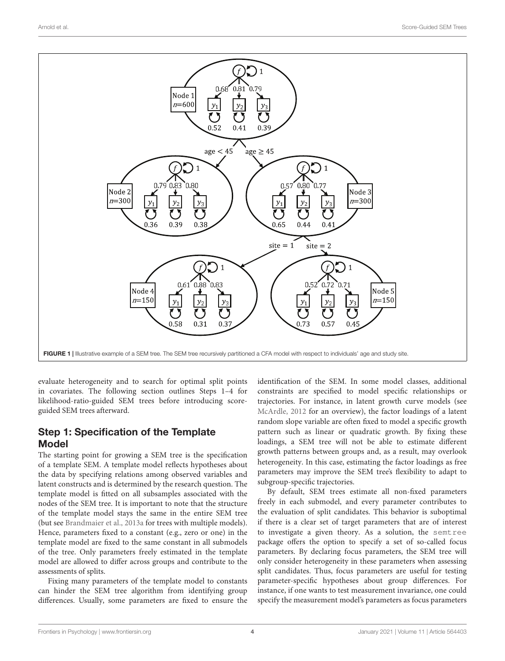

<span id="page-3-0"></span>evaluate heterogeneity and to search for optimal split points in covariates. The following section outlines Steps 1–4 for likelihood-ratio-guided SEM trees before introducing scoreguided SEM trees afterward.

# Step 1: Specification of the Template Model

The starting point for growing a SEM tree is the specification of a template SEM. A template model reflects hypotheses about the data by specifying relations among observed variables and latent constructs and is determined by the research question. The template model is fitted on all subsamples associated with the nodes of the SEM tree. It is important to note that the structure of the template model stays the same in the entire SEM tree (but see [Brandmaier et al.,](#page-16-7) [2013a](#page-16-7) for trees with multiple models). Hence, parameters fixed to a constant (e.g., zero or one) in the template model are fixed to the same constant in all submodels of the tree. Only parameters freely estimated in the template model are allowed to differ across groups and contribute to the assessments of splits.

Fixing many parameters of the template model to constants can hinder the SEM tree algorithm from identifying group differences. Usually, some parameters are fixed to ensure the identification of the SEM. In some model classes, additional constraints are specified to model specific relationships or trajectories. For instance, in latent growth curve models (see [McArdle,](#page-16-21) [2012](#page-16-21) for an overview), the factor loadings of a latent random slope variable are often fixed to model a specific growth pattern such as linear or quadratic growth. By fixing these loadings, a SEM tree will not be able to estimate different growth patterns between groups and, as a result, may overlook heterogeneity. In this case, estimating the factor loadings as free parameters may improve the SEM tree's flexibility to adapt to subgroup-specific trajectories.

By default, SEM trees estimate all non-fixed parameters freely in each submodel, and every parameter contributes to the evaluation of split candidates. This behavior is suboptimal if there is a clear set of target parameters that are of interest to investigate a given theory. As a solution, the semtree package offers the option to specify a set of so-called focus parameters. By declaring focus parameters, the SEM tree will only consider heterogeneity in these parameters when assessing split candidates. Thus, focus parameters are useful for testing parameter-specific hypotheses about group differences. For instance, if one wants to test measurement invariance, one could specify the measurement model's parameters as focus parameters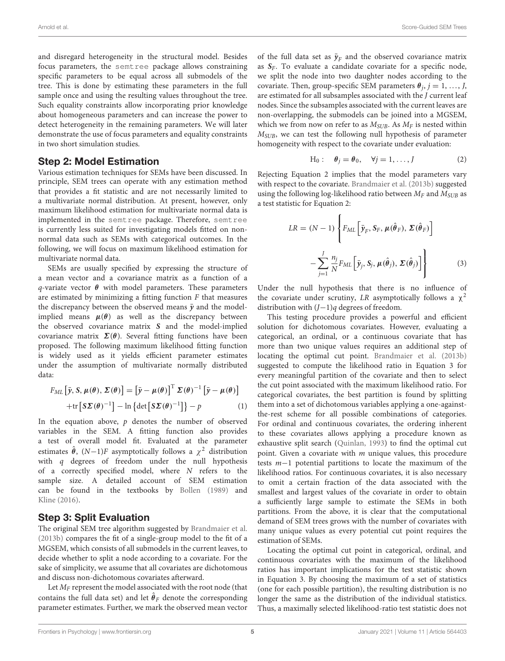and disregard heterogeneity in the structural model. Besides focus parameters, the semtree package allows constraining specific parameters to be equal across all submodels of the tree. This is done by estimating these parameters in the full sample once and using the resulting values throughout the tree. Such equality constraints allow incorporating prior knowledge about homogeneous parameters and can increase the power to detect heterogeneity in the remaining parameters. We will later demonstrate the use of focus parameters and equality constraints in two short simulation studies.

#### Step 2: Model Estimation

Various estimation techniques for SEMs have been discussed. In principle, SEM trees can operate with any estimation method that provides a fit statistic and are not necessarily limited to a multivariate normal distribution. At present, however, only maximum likelihood estimation for multivariate normal data is implemented in the semtree package. Therefore, semtree is currently less suited for investigating models fitted on nonnormal data such as SEMs with categorical outcomes. In the following, we will focus on maximum likelihood estimation for multivariate normal data.

SEMs are usually specified by expressing the structure of a mean vector and a covariance matrix as a function of a q-variate vector  $\theta$  with model parameters. These parameters are estimated by minimizing a fitting function  $F$  that measures the discrepancy between the observed means  $\bar{y}$  and the modelimplied means  $\mu(\theta)$  as well as the discrepancy between the observed covariance matrix **S** and the model-implied covariance matrix  $\Sigma(\theta)$ . Several fitting functions have been proposed. The following maximum likelihood fitting function is widely used as it yields efficient parameter estimates under the assumption of multivariate normally distributed data:

$$
F_{ML} \left[ \bar{y}, S, \mu(\theta), \Sigma(\theta) \right] = \left[ \bar{y} - \mu(\theta) \right]^{\mathrm{T}} \Sigma(\theta)^{-1} \left[ \bar{y} - \mu(\theta) \right] + \text{tr} \left[ S \Sigma(\theta)^{-1} \right] - \ln \left\{ \det \left[ S \Sigma(\theta)^{-1} \right] \right\} - p \tag{1}
$$

In the equation above,  $p$  denotes the number of observed variables in the SEM. A fitting function also provides a test of overall model fit. Evaluated at the parameter estimates  $\hat{\theta}$ ,  $(N-1)F$  asymptotically follows a  $\chi^2$  distribution with  $q$  degrees of freedom under the null hypothesis of a correctly specified model, where N refers to the sample size. A detailed account of SEM estimation can be found in the textbooks by [Bollen](#page-16-2) [\(1989\)](#page-16-2) and [Kline](#page-16-3) [\(2016\)](#page-16-3).

## Step 3: Split Evaluation

The original SEM tree algorithm suggested by [Brandmaier et al.](#page-16-6) [\(2013b\)](#page-16-6) compares the fit of a single-group model to the fit of a MGSEM, which consists of all submodels in the current leaves, to decide whether to split a node according to a covariate. For the sake of simplicity, we assume that all covariates are dichotomous and discuss non-dichotomous covariates afterward.

Let  $M_F$  represent the model associated with the root node (that contains the full data set) and let  $\hat{\theta}_F$  denote the corresponding parameter estimates. Further, we mark the observed mean vector of the full data set as  $\bar{y}_F$  and the observed covariance matrix as  $S_F$ . To evaluate a candidate covariate for a specific node, we split the node into two daughter nodes according to the covariate. Then, group-specific SEM parameters  $\theta_j$ ,  $j = 1, ..., J$ , are estimated for all subsamples associated with the J current leaf nodes. Since the subsamples associated with the current leaves are non-overlapping, the submodels can be joined into a MGSEM, which we from now on refer to as  $M_{SUB}$ . As  $M_F$  is nested within  $M_{\text{SUB}}$ , we can test the following null hypothesis of parameter homogeneity with respect to the covariate under evaluation:

$$
H_0: \quad \theta_j = \theta_0, \quad \forall j = 1, \dots, J \tag{2}
$$

Rejecting Equation 2 implies that the model parameters vary with respect to the covariate. [Brandmaier et al.](#page-16-6) [\(2013b\)](#page-16-6) suggested using the following log-likelihood ratio between  $M_F$  and  $M_{SUB}$  as a test statistic for Equation 2:

$$
LR = (N - 1) \left\{ F_{ML} \left[ \bar{\mathbf{y}}_F, \mathbf{S}_F, \boldsymbol{\mu}(\hat{\boldsymbol{\theta}}_F), \boldsymbol{\Sigma}(\hat{\boldsymbol{\theta}}_F) \right] - \sum_{j=1}^J \frac{n_j}{N} F_{ML} \left[ \bar{\mathbf{y}}_j, \mathbf{S}_j, \boldsymbol{\mu}(\hat{\boldsymbol{\theta}}_j), \boldsymbol{\Sigma}(\hat{\boldsymbol{\theta}}_j) \right] \right\}
$$
(3)

Under the null hypothesis that there is no influence of the covariate under scrutiny, LR asymptotically follows a  $\chi^2$ distribution with (J−1)q degrees of freedom.

This testing procedure provides a powerful and efficient solution for dichotomous covariates. However, evaluating a categorical, an ordinal, or a continuous covariate that has more than two unique values requires an additional step of locating the optimal cut point. [Brandmaier et al.](#page-16-6) [\(2013b\)](#page-16-6) suggested to compute the likelihood ratio in Equation 3 for every meaningful partition of the covariate and then to select the cut point associated with the maximum likelihood ratio. For categorical covariates, the best partition is found by splitting them into a set of dichotomous variables applying a one-againstthe-rest scheme for all possible combinations of categories. For ordinal and continuous covariates, the ordering inherent to these covariates allows applying a procedure known as exhaustive split search [\(Quinlan,](#page-17-16) [1993\)](#page-17-16) to find the optimal cut point. Given a covariate with  $m$  unique values, this procedure tests m−1 potential partitions to locate the maximum of the likelihood ratios. For continuous covariates, it is also necessary to omit a certain fraction of the data associated with the smallest and largest values of the covariate in order to obtain a sufficiently large sample to estimate the SEMs in both partitions. From the above, it is clear that the computational demand of SEM trees grows with the number of covariates with many unique values as every potential cut point requires the estimation of SEMs.

Locating the optimal cut point in categorical, ordinal, and continuous covariates with the maximum of the likelihood ratios has important implications for the test statistic shown in Equation 3. By choosing the maximum of a set of statistics (one for each possible partition), the resulting distribution is no longer the same as the distribution of the individual statistics. Thus, a maximally selected likelihood-ratio test statistic does not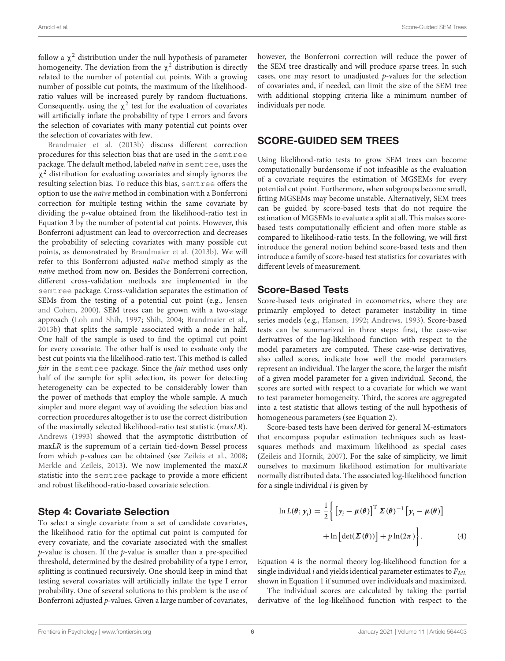follow a  $\chi^2$  distribution under the null hypothesis of parameter homogeneity. The deviation from the  $\chi^2$  distribution is directly related to the number of potential cut points. With a growing number of possible cut points, the maximum of the likelihoodratio values will be increased purely by random fluctuations. Consequently, using the  $\chi^2$  test for the evaluation of covariates will artificially inflate the probability of type I errors and favors the selection of covariates with many potential cut points over the selection of covariates with few.

[Brandmaier et al.](#page-16-6) [\(2013b\)](#page-16-6) discuss different correction procedures for this selection bias that are used in the semtree package. The default method, labeled naïve in semtree, uses the  $\chi^2$  distribution for evaluating covariates and simply ignores the resulting selection bias. To reduce this bias, semtree offers the option to use the naïve method in combination with a Bonferroni correction for multiple testing within the same covariate by dividing the p-value obtained from the likelihood-ratio test in Equation 3 by the number of potential cut points. However, this Bonferroni adjustment can lead to overcorrection and decreases the probability of selecting covariates with many possible cut points, as demonstrated by [Brandmaier et al.](#page-16-6) [\(2013b\)](#page-16-6). We will refer to this Bonferroni adjusted naïve method simply as the naïve method from now on. Besides the Bonferroni correction, different cross-validation methods are implemented in the semt ree package. Cross-validation separates the estimation of SEMs from the testing of a potential cut point (e.g., [Jensen](#page-16-19) [and Cohen,](#page-16-19) [2000\)](#page-16-19). SEM trees can be grown with a two-stage approach [\(Loh and Shih,](#page-16-22) [1997;](#page-16-22) [Shih,](#page-17-17) [2004;](#page-17-17) [Brandmaier et al.,](#page-16-6) [2013b\)](#page-16-6) that splits the sample associated with a node in half. One half of the sample is used to find the optimal cut point for every covariate. The other half is used to evaluate only the best cut points via the likelihood-ratio test. This method is called fair in the semt ree package. Since the fair method uses only half of the sample for split selection, its power for detecting heterogeneity can be expected to be considerably lower than the power of methods that employ the whole sample. A much simpler and more elegant way of avoiding the selection bias and correction procedures altogether is to use the correct distribution of the maximally selected likelihood-ratio test statistic (maxLR). [Andrews](#page-16-23) [\(1993\)](#page-16-23) showed that the asymptotic distribution of maxLR is the supremum of a certain tied-down Bessel process from which p-values can be obtained (see [Zeileis et al.,](#page-17-1) [2008;](#page-17-1) [Merkle and Zeileis,](#page-16-0) [2013\)](#page-16-0). We now implemented the maxLR statistic into the semtree package to provide a more efficient and robust likelihood-ratio-based covariate selection.

## Step 4: Covariate Selection

To select a single covariate from a set of candidate covariates, the likelihood ratio for the optimal cut point is computed for every covariate, and the covariate associated with the smallest  $p$ -value is chosen. If the  $p$ -value is smaller than a pre-specified threshold, determined by the desired probability of a type I error, splitting is continued recursively. One should keep in mind that testing several covariates will artificially inflate the type I error probability. One of several solutions to this problem is the use of Bonferroni adjusted p-values. Given a large number of covariates,

however, the Bonferroni correction will reduce the power of the SEM tree drastically and will produce sparse trees. In such cases, one may resort to unadjusted p-values for the selection of covariates and, if needed, can limit the size of the SEM tree with additional stopping criteria like a minimum number of individuals per node.

## SCORE-GUIDED SEM TREES

Using likelihood-ratio tests to grow SEM trees can become computationally burdensome if not infeasible as the evaluation of a covariate requires the estimation of MGSEMs for every potential cut point. Furthermore, when subgroups become small, fitting MGSEMs may become unstable. Alternatively, SEM trees can be guided by score-based tests that do not require the estimation of MGSEMs to evaluate a split at all. This makes scorebased tests computationally efficient and often more stable as compared to likelihood-ratio tests. In the following, we will first introduce the general notion behind score-based tests and then introduce a family of score-based test statistics for covariates with different levels of measurement.

## Score-Based Tests

Score-based tests originated in econometrics, where they are primarily employed to detect parameter instability in time series models (e.g., [Hansen,](#page-16-24) [1992;](#page-16-24) [Andrews,](#page-16-23) [1993\)](#page-16-23). Score-based tests can be summarized in three steps: first, the case-wise derivatives of the log-likelihood function with respect to the model parameters are computed. These case-wise derivatives, also called scores, indicate how well the model parameters represent an individual. The larger the score, the larger the misfit of a given model parameter for a given individual. Second, the scores are sorted with respect to a covariate for which we want to test parameter homogeneity. Third, the scores are aggregated into a test statistic that allows testing of the null hypothesis of homogeneous parameters (see Equation 2).

Score-based tests have been derived for general M-estimators that encompass popular estimation techniques such as leastsquares methods and maximum likelihood as special cases [\(Zeileis and Hornik,](#page-17-13) [2007\)](#page-17-13). For the sake of simplicity, we limit ourselves to maximum likelihood estimation for multivariate normally distributed data. The associated log-likelihood function for a single individual  $i$  is given by

$$
\ln L(\theta; y_i) = \frac{1}{2} \left\{ \left[ y_i - \mu(\theta) \right]^{\mathrm{T}} \Sigma(\theta)^{-1} \left[ y_i - \mu(\theta) \right] + \ln \left[ \det(\Sigma(\theta)) \right] + p \ln(2\pi) \right\}.
$$
 (4)

Equation 4 is the normal theory log-likelihood function for a single individual  $i$  and yields identical parameter estimates to  $F_{ML}$ shown in Equation 1 if summed over individuals and maximized.

The individual scores are calculated by taking the partial derivative of the log-likelihood function with respect to the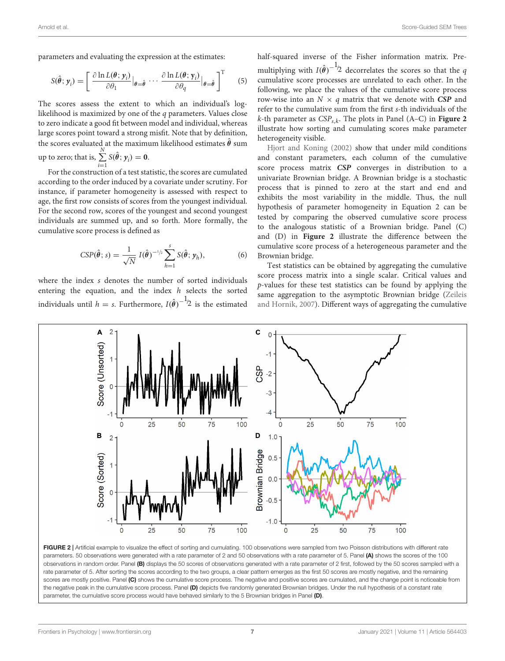parameters and evaluating the expression at the estimates:

$$
S(\hat{\theta}; y_i) = \left[ \frac{\partial \ln L(\theta; y_i)}{\partial \theta_1} \Big|_{\theta = \hat{\theta}} \cdots \frac{\partial \ln L(\theta; y_i)}{\partial \theta_q} \Big|_{\theta = \hat{\theta}} \right]^\mathrm{T} \qquad (5)
$$

The scores assess the extent to which an individual's loglikelihood is maximized by one of the q parameters. Values close to zero indicate a good fit between model and individual, whereas large scores point toward a strong misfit. Note that by definition, the scores evaluated at the maximum likelihood estimates  $\hat{\theta}$  sum up to zero; that is,  $\sum^{N}$  $i=1$  $S(\hat{\theta}; y_i) = 0.$ 

For the construction of a test statistic, the scores are cumulated according to the order induced by a covariate under scrutiny. For instance, if parameter homogeneity is assessed with respect to age, the first row consists of scores from the youngest individual. For the second row, scores of the youngest and second youngest individuals are summed up, and so forth. More formally, the cumulative score process is defined as

$$
CSP(\hat{\theta}; s) = \frac{1}{\sqrt{N}} I(\hat{\theta})^{-1/2} \sum_{h=1}^{s} S(\hat{\theta}; y_h),
$$
 (6)

where the index s denotes the number of sorted individuals entering the equation, and the index h selects the sorted individuals until  $h = s$ . Furthermore,  $I(\hat{\theta})^{-1/2}$  is the estimated

half-squared inverse of the Fisher information matrix. Premultiplying with  $I(\hat{\theta})^{-1/2}$  decorrelates the scores so that the  $q$ cumulative score processes are unrelated to each other. In the following, we place the values of the cumulative score process row-wise into an  $N \times q$  matrix that we denote with **CSP** and refer to the cumulative sum from the first s-th individuals of the k-th parameter as CSPs,<sup>k</sup> . The plots in Panel (A–C) in **[Figure 2](#page-6-0)** illustrate how sorting and cumulating scores make parameter heterogeneity visible.

[Hjort and Koning](#page-16-25) [\(2002\)](#page-16-25) show that under mild conditions and constant parameters, each column of the cumulative score process matrix **CSP** converges in distribution to a univariate Brownian bridge. A Brownian bridge is a stochastic process that is pinned to zero at the start and end and exhibits the most variability in the middle. Thus, the null hypothesis of parameter homogeneity in Equation 2 can be tested by comparing the observed cumulative score process to the analogous statistic of a Brownian bridge. Panel (C) and (D) in **[Figure 2](#page-6-0)** illustrate the difference between the cumulative score process of a heterogeneous parameter and the Brownian bridge.

Test statistics can be obtained by aggregating the cumulative score process matrix into a single scalar. Critical values and p-values for these test statistics can be found by applying the same aggregation to the asymptotic Brownian bridge [\(Zeileis](#page-17-13) [and Hornik,](#page-17-13) [2007\)](#page-17-13). Different ways of aggregating the cumulative



<span id="page-6-0"></span>FIGURE 2 | Artificial example to visualize the effect of sorting and cumulating. 100 observations were sampled from two Poisson distributions with different rate parameters. 50 observations were generated with a rate parameter of 2 and 50 observations with a rate parameter of 5. Panel (A) shows the scores of the 100 observations in random order. Panel (B) displays the 50 scores of observations generated with a rate parameter of 2 first, followed by the 50 scores sampled with a rate parameter of 5. After sorting the scores according to the two groups, a clear pattern emerges as the first 50 scores are mostly negative, and the remaining scores are mostly positive. Panel (C) shows the cumulative score process. The negative and positive scores are cumulated, and the change point is noticeable from the negative peak in the cumulative score process. Panel (D) depicts five randomly generated Brownian bridges. Under the null hypothesis of a constant rate parameter, the cumulative score process would have behaved similarly to the 5 Brownian bridges in Panel (D).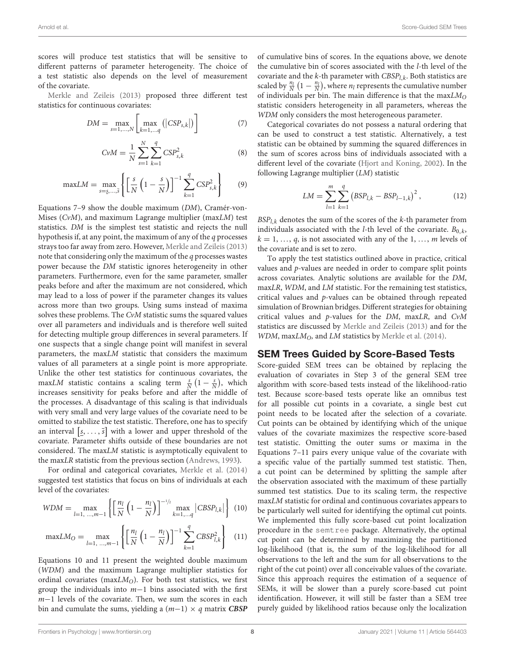scores will produce test statistics that will be sensitive to different patterns of parameter heterogeneity. The choice of a test statistic also depends on the level of measurement of the covariate.

[Merkle and Zeileis](#page-16-0) [\(2013\)](#page-16-0) proposed three different test statistics for continuous covariates:

$$
DM = \max_{s=1,...,N} \left[ \max_{k=1,...,q} (|CSP_{s,k}|) \right]
$$
 (7)

$$
CvM = \frac{1}{N} \sum_{s=1}^{N} \sum_{k=1}^{q} CSP_{s,k}^{2}
$$
 (8)

$$
\text{max} LM = \max_{s=s,\dots,5} \left\{ \left[ \frac{s}{N} \left( 1 - \frac{s}{N} \right) \right]^{-1} \sum_{k=1}^{q} \text{CSP}_{s,k}^{2} \right\} \tag{9}
$$

Equations 7–9 show the double maximum (DM), Cramér-von-Mises (CvM), and maximum Lagrange multiplier (maxLM) test statistics. DM is the simplest test statistic and rejects the null hypothesis if, at any point, the maximum of any of the q processes strays too far away from zero. However, [Merkle and Zeileis](#page-16-0) [\(2013\)](#page-16-0) note that considering only the maximum of the q processes wastes power because the DM statistic ignores heterogeneity in other parameters. Furthermore, even for the same parameter, smaller peaks before and after the maximum are not considered, which may lead to a loss of power if the parameter changes its values across more than two groups. Using sums instead of maxima solves these problems. The CvM statistic sums the squared values over all parameters and individuals and is therefore well suited for detecting multiple group differences in several parameters. If one suspects that a single change point will manifest in several parameters, the maxLM statistic that considers the maximum values of all parameters at a single point is more appropriate. Unlike the other test statistics for continuous covariates, the maxLM statistic contains a scaling term  $\frac{s}{N}$   $(1 - \frac{s}{N})$ , which increases sensitivity for peaks before and after the middle of the processes. A disadvantage of this scaling is that individuals with very small and very large values of the covariate need to be omitted to stabilize the test statistic. Therefore, one has to specify an interval  $\left[\underline{s}, \ldots, \overline{s}\right]$  with a lower and upper threshold of the covariate. Parameter shifts outside of these boundaries are not considered. The maxLM statistic is asymptotically equivalent to the maxLR statistic from the previous section [\(Andrews,](#page-16-23) [1993\)](#page-16-23).

For ordinal and categorical covariates, [Merkle et al.](#page-16-1) [\(2014\)](#page-16-1) suggested test statistics that focus on bins of individuals at each level of the covariates:

$$
WDM = \max_{l=1, ..., m-1} \left\{ \left[ \frac{n_l}{N} \left( 1 - \frac{n_l}{N} \right) \right]^{-1/2} \max_{k=1, ..., q} \left| CBSP_{l,k} \right| \right\} (10)
$$

$$
\text{max} LM_O = \max_{l=1, ..., m-1} \left\{ \left[ \frac{n_l}{N} \left( 1 - \frac{n_l}{N} \right) \right]^{-1} \sum_{k=1}^{q} CBSP_{l,k}^2 \right\} \tag{11}
$$

Equations 10 and 11 present the weighted double maximum (WDM) and the maximum Lagrange multiplier statistics for ordinal covariates (max $LM<sub>O</sub>$ ). For both test statistics, we first group the individuals into  $m-1$  bins associated with the first m−1 levels of the covariate. Then, we sum the scores in each bin and cumulate the sums, yielding a (m−1) × q matrix **CBSP** of cumulative bins of scores. In the equations above, we denote the cumulative bin of scores associated with the l-th level of the covariate and the *k*-th parameter with  $CBSP_{l,k}$ . Both statistics are scaled by  $\frac{n_l}{N} (1 - \frac{n_l}{N})$ , where  $n_l$  represents the cumulative number of individuals per bin. The main difference is that the  $maxLM<sub>O</sub>$ statistic considers heterogeneity in all parameters, whereas the WDM only considers the most heterogeneous parameter.

Categorical covariates do not possess a natural ordering that can be used to construct a test statistic. Alternatively, a test statistic can be obtained by summing the squared differences in the sum of scores across bins of individuals associated with a different level of the covariate [\(Hjort and Koning,](#page-16-25) [2002\)](#page-16-25). In the following Lagrange multiplier (LM) statistic

$$
LM = \sum_{l=1}^{m} \sum_{k=1}^{q} (BSP_{l,k} - BSP_{l-1,k})^2, \qquad (12)
$$

 $BSP<sub>L,k</sub>$  denotes the sum of the scores of the k-th parameter from individuals associated with the *l*-th level of the covariate.  $B_{0,k}$ ,  $k = 1, \ldots, q$ , is not associated with any of the 1, ..., m levels of the covariate and is set to zero.

To apply the test statistics outlined above in practice, critical values and p-values are needed in order to compare split points across covariates. Analytic solutions are available for the DM, maxLR, WDM, and LM statistic. For the remaining test statistics, critical values and p-values can be obtained through repeated simulation of Brownian bridges. Different strategies for obtaining critical values and p-values for the DM, maxLR, and CvM statistics are discussed by [Merkle and Zeileis](#page-16-0) [\(2013\)](#page-16-0) and for the WDM, maxLM<sub>O</sub>, and LM statistics by [Merkle et al.](#page-16-1) [\(2014\)](#page-16-1).

#### SEM Trees Guided by Score-Based Tests

Score-guided SEM trees can be obtained by replacing the evaluation of covariates in Step 3 of the general SEM tree algorithm with score-based tests instead of the likelihood-ratio test. Because score-based tests operate like an omnibus test for all possible cut points in a covariate, a single best cut point needs to be located after the selection of a covariate. Cut points can be obtained by identifying which of the unique values of the covariate maximizes the respective score-based test statistic. Omitting the outer sums or maxima in the Equations 7–11 pairs every unique value of the covariate with a specific value of the partially summed test statistic. Then, a cut point can be determined by splitting the sample after the observation associated with the maximum of these partially summed test statistics. Due to its scaling term, the respective maxLM statistic for ordinal and continuous covariates appears to be particularly well suited for identifying the optimal cut points. We implemented this fully score-based cut point localization procedure in the semtree package. Alternatively, the optimal cut point can be determined by maximizing the partitioned log-likelihood (that is, the sum of the log-likelihood for all observations to the left and the sum for all observations to the right of the cut point) over all conceivable values of the covariate. Since this approach requires the estimation of a sequence of SEMs, it will be slower than a purely score-based cut point identification. However, it will still be faster than a SEM tree purely guided by likelihood ratios because only the localization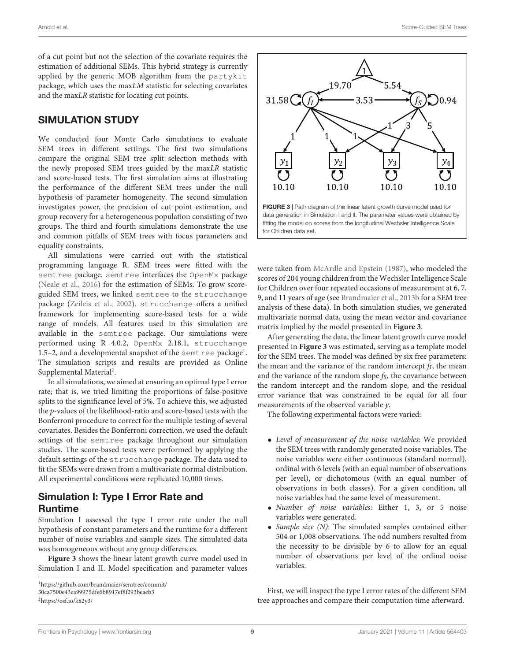of a cut point but not the selection of the covariate requires the estimation of additional SEMs. This hybrid strategy is currently applied by the generic MOB algorithm from the partykit package, which uses the maxLM statistic for selecting covariates and the maxLR statistic for locating cut points.

## SIMULATION STUDY

We conducted four Monte Carlo simulations to evaluate SEM trees in different settings. The first two simulations compare the original SEM tree split selection methods with the newly proposed SEM trees guided by the maxLR statistic and score-based tests. The first simulation aims at illustrating the performance of the different SEM trees under the null hypothesis of parameter homogeneity. The second simulation investigates power, the precision of cut point estimation, and group recovery for a heterogeneous population consisting of two groups. The third and fourth simulations demonstrate the use and common pitfalls of SEM trees with focus parameters and equality constraints.

All simulations were carried out with the statistical programming language R. SEM trees were fitted with the semtree package. semtree interfaces the OpenMx package [\(Neale et al.,](#page-17-18) [2016\)](#page-17-18) for the estimation of SEMs. To grow scoreguided SEM trees, we linked semtree to the strucchange package [\(Zeileis et al.,](#page-17-19) [2002\)](#page-17-19). strucchange offers a unified framework for implementing score-based tests for a wide range of models. All features used in this simulation are available in the semtree package. Our simulations were performed using R 4.0.2, OpenMx 2.18.1, strucchange [1](#page-8-0).5-2, and a developmental snapshot of the semt ree package<sup>1</sup>. The simulation scripts and results are provided as Online Supplemental Material<sup>[2](#page-8-1)</sup>.

In all simulations, we aimed at ensuring an optimal type I error rate; that is, we tried limiting the proportions of false-positive splits to the significance level of 5%. To achieve this, we adjusted the p-values of the likelihood-ratio and score-based tests with the Bonferroni procedure to correct for the multiple testing of several covariates. Besides the Bonferroni correction, we used the default settings of the semtree package throughout our simulation studies. The score-based tests were performed by applying the default settings of the strucchange package. The data used to fit the SEMs were drawn from a multivariate normal distribution. All experimental conditions were replicated 10,000 times.

## Simulation I: Type I Error Rate and Runtime

Simulation I assessed the type I error rate under the null hypothesis of constant parameters and the runtime for a different number of noise variables and sample sizes. The simulated data was homogeneous without any group differences.

**[Figure 3](#page-8-2)** shows the linear latent growth curve model used in Simulation I and II. Model specification and parameter values



<span id="page-8-2"></span>were taken from [McArdle and Epstein](#page-16-26) [\(1987\)](#page-16-26), who modeled the scores of 204 young children from the Wechsler Intelligence Scale for Children over four repeated occasions of measurement at 6, 7, 9, and 11 years of age (see [Brandmaier et al.,](#page-16-6) [2013b](#page-16-6) for a SEM tree analysis of these data). In both simulation studies, we generated multivariate normal data, using the mean vector and covariance matrix implied by the model presented in **[Figure 3](#page-8-2)**.

After generating the data, the linear latent growth curve model presented in **[Figure 3](#page-8-2)** was estimated, serving as a template model for the SEM trees. The model was defined by six free parameters: the mean and the variance of the random intercept  $f_I$ , the mean and the variance of the random slope  $f_S$ , the covariance between the random intercept and the random slope, and the residual error variance that was constrained to be equal for all four measurements of the observed variable y.

The following experimental factors were varied:

- Level of measurement of the noise variables: We provided the SEM trees with randomly generated noise variables. The noise variables were either continuous (standard normal), ordinal with 6 levels (with an equal number of observations per level), or dichotomous (with an equal number of observations in both classes). For a given condition, all noise variables had the same level of measurement.
- Number of noise variables: Either 1, 3, or 5 noise variables were generated.
- Sample size  $(N)$ : The simulated samples contained either 504 or 1,008 observations. The odd numbers resulted from the necessity to be divisible by 6 to allow for an equal number of observations per level of the ordinal noise variables.

First, we will inspect the type I error rates of the different SEM tree approaches and compare their computation time afterward.

<span id="page-8-0"></span><sup>1</sup>[https://github.com/brandmaier/semtree/commit/](https://github.com/brandmaier/semtree/commit/30ca7500e43ca99975dfe6b8917ef8f293beaeb3)

[<sup>30</sup>ca7500e43ca99975dfe6b8917ef8f293beaeb3](https://github.com/brandmaier/semtree/commit/30ca7500e43ca99975dfe6b8917ef8f293beaeb3)

<span id="page-8-1"></span><sup>2</sup><https://osf.io/k82y3/>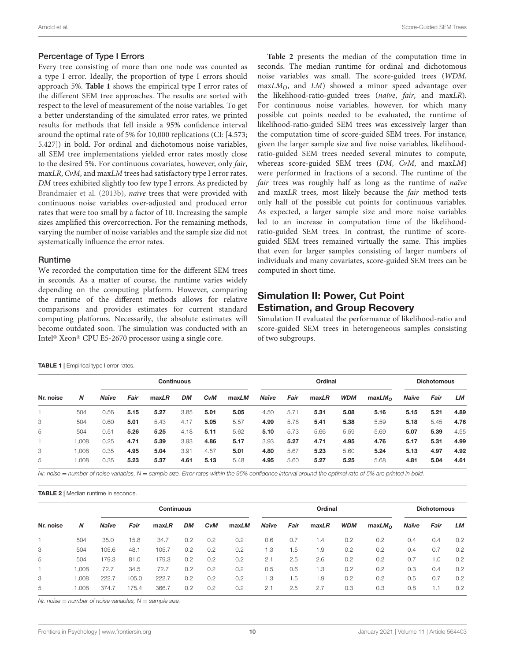#### Percentage of Type I Errors

Every tree consisting of more than one node was counted as a type I error. Ideally, the proportion of type I errors should approach 5%. **[Table 1](#page-9-0)** shows the empirical type I error rates of the different SEM tree approaches. The results are sorted with respect to the level of measurement of the noise variables. To get a better understanding of the simulated error rates, we printed results for methods that fell inside a 95% confidence interval around the optimal rate of 5% for 10,000 replications (CI: [4.573; 5.427]) in bold. For ordinal and dichotomous noise variables, all SEM tree implementations yielded error rates mostly close to the desired 5%. For continuous covariates, however, only fair, maxLR, CvM, and maxLM trees had satisfactory type I error rates. DM trees exhibited slightly too few type I errors. As predicted by [Brandmaier et al.](#page-16-6) [\(2013b\)](#page-16-6), naïve trees that were provided with continuous noise variables over-adjusted and produced error rates that were too small by a factor of 10. Increasing the sample sizes amplified this overcorrection. For the remaining methods, varying the number of noise variables and the sample size did not systematically influence the error rates.

#### Runtime

We recorded the computation time for the different SEM trees in seconds. As a matter of course, the runtime varies widely depending on the computing platform. However, comparing the runtime of the different methods allows for relative comparisons and provides estimates for current standard computing platforms. Necessarily, the absolute estimates will become outdated soon. The simulation was conducted with an Intel<sup>®</sup> Xeon® CPU E5-2670 processor using a single core.

**[Table 2](#page-9-1)** presents the median of the computation time in seconds. The median runtime for ordinal and dichotomous noise variables was small. The score-guided trees (WDM,  $maxLM<sub>O</sub>$ , and  $LM$ ) showed a minor speed advantage over the likelihood-ratio-guided trees (naïve, fair, and maxLR). For continuous noise variables, however, for which many possible cut points needed to be evaluated, the runtime of likelihood-ratio-guided SEM trees was excessively larger than the computation time of score-guided SEM trees. For instance, given the larger sample size and five noise variables, likelihoodratio-guided SEM trees needed several minutes to compute, whereas score-guided SEM trees (DM, CvM, and maxLM) were performed in fractions of a second. The runtime of the fair trees was roughly half as long as the runtime of naïve and maxLR trees, most likely because the fair method tests only half of the possible cut points for continuous variables. As expected, a larger sample size and more noise variables led to an increase in computation time of the likelihoodratio-guided SEM trees. In contrast, the runtime of scoreguided SEM trees remained virtually the same. This implies that even for larger samples consisting of larger numbers of individuals and many covariates, score-guided SEM trees can be computed in short time.

## Simulation II: Power, Cut Point Estimation, and Group Recovery

Simulation II evaluated the performance of likelihood-ratio and score-guided SEM trees in heterogeneous samples consisting of two subgroups.

<span id="page-9-0"></span>

| <b>TABLE 1</b>   Empirical type I error rates. |       |              |      |       |                   |            |       |       |      |         |            |                    |       |                    |      |
|------------------------------------------------|-------|--------------|------|-------|-------------------|------------|-------|-------|------|---------|------------|--------------------|-------|--------------------|------|
|                                                |       |              |      |       | <b>Continuous</b> |            |       |       |      | Ordinal |            |                    |       | <b>Dichotomous</b> |      |
| Nr. noise                                      | N     | <b>Naïve</b> | Fair | maxLR | <b>DM</b>         | <b>CvM</b> | maxLM | Naïve | Fair | maxLR   | <b>WDM</b> | maxLM <sub>o</sub> | Naïve | Fair               | LМ   |
|                                                | 504   | 0.56         | 5.15 | 5.27  | 3.85              | 5.01       | 5.05  | 4.50  | 5.71 | 5.31    | 5.08       | 5.16               | 5.15  | 5.21               | 4.89 |
| 3                                              | 504   | 0.60         | 5.01 | 5.43  | 4.17              | 5.05       | 5.57  | 4.99  | 5.78 | 5.41    | 5.38       | 5.59               | 5.18  | 5.45               | 4.76 |
| 5                                              | 504   | 0.51         | 5.26 | 5.25  | 4.18              | 5.11       | 5.62  | 5.10  | 5.73 | 5.66    | 5.59       | 5.69               | 5.07  | 5.39               | 4.55 |
|                                                | 1.008 | 0.25         | 4.71 | 5.39  | 3.93              | 4.86       | 5.17  | 3.93  | 5.27 | 4.71    | 4.95       | 4.76               | 5.17  | 5.31               | 4.99 |
| 3                                              | 1,008 | 0.35         | 4.95 | 5.04  | 3.91              | 4.57       | 5.01  | 4.80  | 5.67 | 5.23    | 5.60       | 5.24               | 5.13  | 4.97               | 4.92 |
| 5                                              | 1.008 | 0.35         | 5.23 | 5.37  | 4.61              | 5.13       | 5.48  | 4.95  | 5.60 | 5.27    | 5.25       | 5.68               | 4.81  | 5.04               | 4.61 |

Nr. noise = number of noise variables, N = sample size. Error rates within the 95% confidence interval around the optimal rate of 5% are printed in bold.

<span id="page-9-1"></span>TABLE 2 | Median runtime in seconds.

|           |       |       |       | <b>Continuous</b> |           |            |       |       |      | Ordinal |            |                    |       | <b>Dichotomous</b> |     |
|-----------|-------|-------|-------|-------------------|-----------|------------|-------|-------|------|---------|------------|--------------------|-------|--------------------|-----|
| Nr. noise | N     | Naïve | Fair  | maxLR             | <b>DM</b> | <b>CvM</b> | maxLM | Naïve | Fair | maxLR   | <b>WDM</b> | maxLM <sub>O</sub> | Naïve | Fair               | LМ  |
|           | 504   | 35.0  | 15.8  | 34.7              | 0.2       | 0.2        | 0.2   | 0.6   | 0.7  | 1.4     | 0.2        | 0.2                | 0.4   | 0.4                | 0.2 |
| 3         | 504   | 105.6 | 48.1  | 105.7             | 0.2       | 0.2        | 0.2   | 1.3   | 1.5  | 1.9     | 0.2        | 0.2                | 0.4   | 0.7                | 0.2 |
| 5         | 504   | 179.3 | 81.0  | 179.3             | 0.2       | 0.2        | 0.2   | 2.1   | 2.5  | 2.6     | 0.2        | 0.2                | 0.7   | 1.0                | 0.2 |
| 1         | 1,008 | 72.7  | 34.5  | 72.7              | 0.2       | 0.2        | 0.2   | 0.5   | 0.6  | 1.3     | 0.2        | 0.2                | 0.3   | 0.4                | 0.2 |
| 3         | 1,008 | 222.7 | 105.0 | 222.7             | 0.2       | 0.2        | 0.2   | 1.3   | 1.5  | 1.9     | 0.2        | 0.2                | 0.5   | 0.7                | 0.2 |
| 5         | 1.008 | 374.7 | 175.4 | 366.7             | 0.2       | 0.2        | 0.2   | 2.1   | 2.5  | 2.7     | 0.3        | 0.3                | 0.8   | 1.1                | 0.2 |

Nr. noise  $=$  number of noise variables,  $N =$  sample size.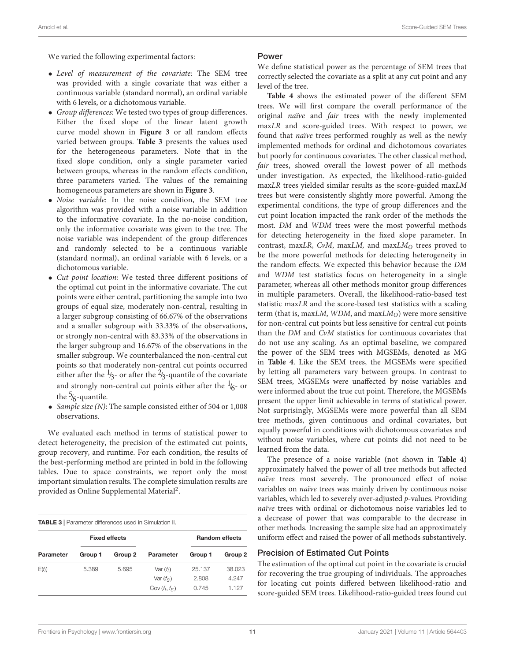We varied the following experimental factors:

- Level of measurement of the covariate: The SEM tree was provided with a single covariate that was either a continuous variable (standard normal), an ordinal variable with 6 levels, or a dichotomous variable.
- Group differences: We tested two types of group differences. Either the fixed slope of the linear latent growth curve model shown in **[Figure 3](#page-8-2)** or all random effects varied between groups. **[Table 3](#page-10-0)** presents the values used for the heterogeneous parameters. Note that in the fixed slope condition, only a single parameter varied between groups, whereas in the random effects condition, three parameters varied. The values of the remaining homogeneous parameters are shown in **[Figure 3](#page-8-2)**.
- Noise variable: In the noise condition, the SEM tree algorithm was provided with a noise variable in addition to the informative covariate. In the no-noise condition, only the informative covariate was given to the tree. The noise variable was independent of the group differences and randomly selected to be a continuous variable (standard normal), an ordinal variable with 6 levels, or a dichotomous variable.
- Cut point location: We tested three different positions of the optimal cut point in the informative covariate. The cut points were either central, partitioning the sample into two groups of equal size, moderately non-central, resulting in a larger subgroup consisting of 66.67% of the observations and a smaller subgroup with 33.33% of the observations, or strongly non-central with 83.33% of the observations in the larger subgroup and 16.67% of the observations in the smaller subgroup. We counterbalanced the non-central cut points so that moderately non-central cut points occurred either after the  $\frac{1}{3}$ - or after the  $\frac{2}{3}$ -quantile of the covariate and strongly non-central cut points either after the  $\frac{1}{6}$ - or the  $\frac{5}{6}$ -quantile.
- Sample size (N): The sample consisted either of 504 or 1,008 observations.

We evaluated each method in terms of statistical power to detect heterogeneity, the precision of the estimated cut points, group recovery, and runtime. For each condition, the results of the best-performing method are printed in bold in the following tables. Due to space constraints, we report only the most important simulation results. The complete simulation results are provided as Online Supplemental Material<sup>2</sup>.

<span id="page-10-0"></span>

| <b>TABLE 3</b>   Parameter differences used in Simulation II. |         |                      |                  |         |                       |
|---------------------------------------------------------------|---------|----------------------|------------------|---------|-----------------------|
|                                                               |         | <b>Fixed effects</b> |                  |         | <b>Random effects</b> |
| Parameter                                                     | Group 1 | Group 2              | Parameter        | Group 1 | Group 2               |
| $E(f_i)$                                                      | 5.389   | 5.695                | Var $(f_i)$      | 25.137  | 38.023                |
|                                                               |         |                      | Var $(f_S)$      | 2.808   | 4.247                 |
|                                                               |         |                      | Cov $(f_1, f_S)$ | 0.745   | 1.127                 |

#### Power

We define statistical power as the percentage of SEM trees that correctly selected the covariate as a split at any cut point and any level of the tree.

**[Table 4](#page-11-0)** shows the estimated power of the different SEM trees. We will first compare the overall performance of the original naïve and fair trees with the newly implemented maxLR and score-guided trees. With respect to power, we found that naïve trees performed roughly as well as the newly implemented methods for ordinal and dichotomous covariates but poorly for continuous covariates. The other classical method, fair trees, showed overall the lowest power of all methods under investigation. As expected, the likelihood-ratio-guided maxLR trees yielded similar results as the score-guided maxLM trees but were consistently slightly more powerful. Among the experimental conditions, the type of group differences and the cut point location impacted the rank order of the methods the most. DM and WDM trees were the most powerful methods for detecting heterogeneity in the fixed slope parameter. In contrast, maxLR, CvM, maxLM, and maxLM $_O$  trees proved to be the more powerful methods for detecting heterogeneity in the random effects. We expected this behavior because the DM and WDM test statistics focus on heterogeneity in a single parameter, whereas all other methods monitor group differences in multiple parameters. Overall, the likelihood-ratio-based test statistic maxLR and the score-based test statistics with a scaling term (that is, maxLM, WDM, and maxLM $_O$ ) were more sensitive for non-central cut points but less sensitive for central cut points than the DM and CvM statistics for continuous covariates that do not use any scaling. As an optimal baseline, we compared the power of the SEM trees with MGSEMs, denoted as MG in **[Table 4](#page-11-0)**. Like the SEM trees, the MGSEMs were specified by letting all parameters vary between groups. In contrast to SEM trees, MGSEMs were unaffected by noise variables and were informed about the true cut point. Therefore, the MGSEMs present the upper limit achievable in terms of statistical power. Not surprisingly, MGSEMs were more powerful than all SEM tree methods, given continuous and ordinal covariates, but equally powerful in conditions with dichotomous covariates and without noise variables, where cut points did not need to be learned from the data.

The presence of a noise variable (not shown in **[Table 4](#page-11-0)**) approximately halved the power of all tree methods but affected naïve trees most severely. The pronounced effect of noise variables on naïve trees was mainly driven by continuous noise variables, which led to severely over-adjusted p-values. Providing naïve trees with ordinal or dichotomous noise variables led to a decrease of power that was comparable to the decrease in other methods. Increasing the sample size had an approximately uniform effect and raised the power of all methods substantively.

#### Precision of Estimated Cut Points

The estimation of the optimal cut point in the covariate is crucial for recovering the true grouping of individuals. The approaches for locating cut points differed between likelihood-ratio and score-guided SEM trees. Likelihood-ratio-guided trees found cut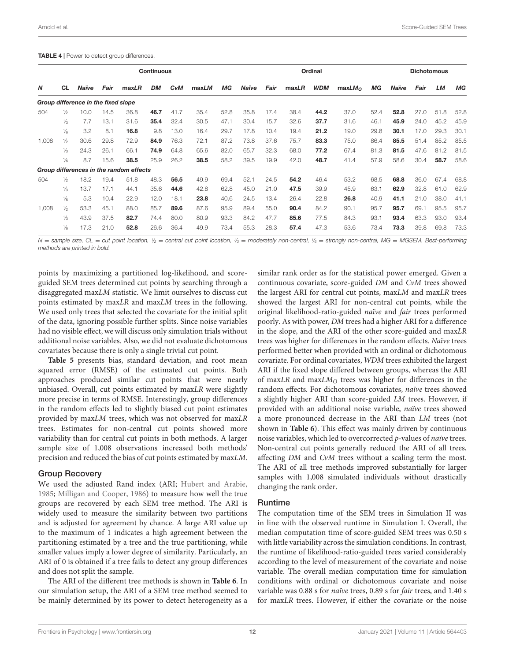<span id="page-11-0"></span>TABLE 4 | Power to detect group differences.

|       |               |                                     |      |                                         | <b>Continuous</b> |            |       |      |       |      |       | Ordinal    |                    |      |       | <b>Dichotomous</b> |          |      |
|-------|---------------|-------------------------------------|------|-----------------------------------------|-------------------|------------|-------|------|-------|------|-------|------------|--------------------|------|-------|--------------------|----------|------|
| N     | <b>CL</b>     | Naïve                               | Fair | maxLR                                   | <b>DM</b>         | <b>CvM</b> | maxLM | МG   | Naïve | Fair | maxLR | <b>WDM</b> | maxLM <sub>O</sub> | МG   | Naïve | Fair               | LМ       | MG   |
|       |               | Group difference in the fixed slope |      |                                         |                   |            |       |      |       |      |       |            |                    |      |       |                    |          |      |
| 504   | ⅓             | 10.0                                | 14.5 | 36.8                                    | 46.7              | 41.7       | 35.4  | 52.8 | 35.8  | 17.4 | 38.4  | 44.2       | 37.0               | 52.4 | 52.8  | 27.0               | .8<br>51 | 52.8 |
|       | ⅓             | 7.7                                 | 13.1 | 31.6                                    | 35.4              | 32.4       | 30.5  | 47.1 | 30.4  | 15.7 | 32.6  | 37.7       | 31.6               | 46.1 | 45.9  | 24.0               | 45.2     | 45.9 |
|       | $\frac{1}{6}$ | 3.2                                 | 8.1  | 16.8                                    | 9.8               | 13.0       | 16.4  | 29.7 | 17.8  | 10.4 | 19.4  | 21.2       | 19.0               | 29.8 | 30.1  | 17.0               | 29.3     | 30.1 |
| 1,008 | $\frac{1}{2}$ | 30.6                                | 29.8 | 72.9                                    | 84.9              | 76.3       | 72.1  | 87.2 | 73.8  | 37.6 | 75.7  | 83.3       | 75.0               | 86.4 | 85.5  | 51.4               | 85.2     | 85.5 |
|       | ⅓             | 24.3                                | 26.1 | 66.1                                    | 74.9              | 64.8       | 65.6  | 82.0 | 65.7  | 32.3 | 68.0  | 77.2       | 67.4               | 81.3 | 81.5  | 47.6               | 81.2     | 81.5 |
|       | $\frac{1}{6}$ | 8.7                                 | 15.6 | 38.5                                    | 25.9              | 26.2       | 38.5  | 58.2 | 39.5  | 19.9 | 42.0  | 48.7       | 41.4               | 57.9 | 58.6  | 30.4               | 58.7     | 58.6 |
|       |               |                                     |      | Group differences in the random effects |                   |            |       |      |       |      |       |            |                    |      |       |                    |          |      |
| 504   | ⅓             | 18.2                                | 19.4 | 51.8                                    | 48.3              | 56.5       | 49.9  | 69.4 | 52.1  | 24.5 | 54.2  | 46.4       | 53.2               | 68.5 | 68.8  | 36.0               | 67.4     | 68.8 |
|       | ⅓             | 13.7                                | 17.1 | 44.1                                    | 35.6              | 44.6       | 42.8  | 62.8 | 45.0  | 21.0 | 47.5  | 39.9       | 45.9               | 63.1 | 62.9  | 32.8               | 61.0     | 62.9 |
|       | $\frac{1}{6}$ | 5.3                                 | 10.4 | 22.9                                    | 12.0              | 18.1       | 23.8  | 40.6 | 24.5  | 13.4 | 26.4  | 22.8       | 26.8               | 40.9 | 41.1  | 21.0               | 38.0     | 41.1 |
| 1,008 | $\frac{1}{2}$ | 53.3                                | 45.1 | 88.0                                    | 85.7              | 89.6       | 87.6  | 95.9 | 89.4  | 55.0 | 90.4  | 84.2       | 90.1               | 95.7 | 95.7  | 69.1               | 95.5     | 95.7 |
|       | ⅓             | 43.9                                | 37.5 | 82.7                                    | 74.4              | 80.0       | 80.9  | 93.3 | 84.2  | 47.7 | 85.6  | 77.5       | 84.3               | 93.1 | 93.4  | 63.3               | 93.0     | 93.4 |
|       | $\frac{1}{6}$ | 17.3                                | 21.0 | 52.8                                    | 26.6              | 36.4       | 49.9  | 73.4 | 55.3  | 28.3 | 57.4  | 47.3       | 53.6               | 73.4 | 73.3  | 39.8               | 69.8     | 73.3 |

N = sample size, CL = cut point location, 1/2 = central cut point location, 1/3 = moderately non-central, 1/6 = strongly non-central, MG = MGSEM. Best-performing methods are printed in bold.

points by maximizing a partitioned log-likelihood, and scoreguided SEM trees determined cut points by searching through a disaggregated maxLM statistic. We limit ourselves to discuss cut points estimated by maxLR and maxLM trees in the following. We used only trees that selected the covariate for the initial split of the data, ignoring possible further splits. Since noise variables had no visible effect, we will discuss only simulation trials without additional noise variables. Also, we did not evaluate dichotomous covariates because there is only a single trivial cut point.

**[Table 5](#page-12-0)** presents bias, standard deviation, and root mean squared error (RMSE) of the estimated cut points. Both approaches produced similar cut points that were nearly unbiased. Overall, cut points estimated by maxLR were slightly more precise in terms of RMSE. Interestingly, group differences in the random effects led to slightly biased cut point estimates provided by maxLM trees, which was not observed for maxLR trees. Estimates for non-central cut points showed more variability than for central cut points in both methods. A larger sample size of 1,008 observations increased both methods' precision and reduced the bias of cut points estimated by maxLM.

#### Group Recovery

We used the adjusted Rand index (ARI; [Hubert and Arabie,](#page-16-27) [1985;](#page-16-27) [Milligan and Cooper,](#page-16-28) [1986\)](#page-16-28) to measure how well the true groups are recovered by each SEM tree method. The ARI is widely used to measure the similarity between two partitions and is adjusted for agreement by chance. A large ARI value up to the maximum of 1 indicates a high agreement between the partitioning estimated by a tree and the true partitioning, while smaller values imply a lower degree of similarity. Particularly, an ARI of 0 is obtained if a tree fails to detect any group differences and does not split the sample.

The ARI of the different tree methods is shown in **[Table 6](#page-12-1)**. In our simulation setup, the ARI of a SEM tree method seemed to be mainly determined by its power to detect heterogeneity as a similar rank order as for the statistical power emerged. Given a continuous covariate, score-guided DM and CvM trees showed the largest ARI for central cut points, maxLM and maxLR trees showed the largest ARI for non-central cut points, while the original likelihood-ratio-guided naïve and fair trees performed poorly. As with power, DM trees had a higher ARI for a difference in the slope, and the ARI of the other score-guided and maxLR trees was higher for differences in the random effects. Naïve trees performed better when provided with an ordinal or dichotomous covariate. For ordinal covariates, WDM trees exhibited the largest ARI if the fixed slope differed between groups, whereas the ARI of maxLR and maxL $M<sub>O</sub>$  trees was higher for differences in the random effects. For dichotomous covariates, naïve trees showed a slightly higher ARI than score-guided LM trees. However, if provided with an additional noise variable, naïve trees showed a more pronounced decrease in the ARI than LM trees (not shown in **[Table 6](#page-12-1)**). This effect was mainly driven by continuous noise variables, which led to overcorrected p-values of naïve trees. Non-central cut points generally reduced the ARI of all trees, affecting DM and CvM trees without a scaling term the most. The ARI of all tree methods improved substantially for larger samples with 1,008 simulated individuals without drastically changing the rank order.

#### Runtime

The computation time of the SEM trees in Simulation II was in line with the observed runtime in Simulation I. Overall, the median computation time of score-guided SEM trees was 0.50 s with little variability across the simulation conditions. In contrast, the runtime of likelihood-ratio-guided trees varied considerably according to the level of measurement of the covariate and noise variable. The overall median computation time for simulation conditions with ordinal or dichotomous covariate and noise variable was 0.88 s for naïve trees, 0.89 s for fair trees, and 1.40 s for maxLR trees. However, if either the covariate or the noise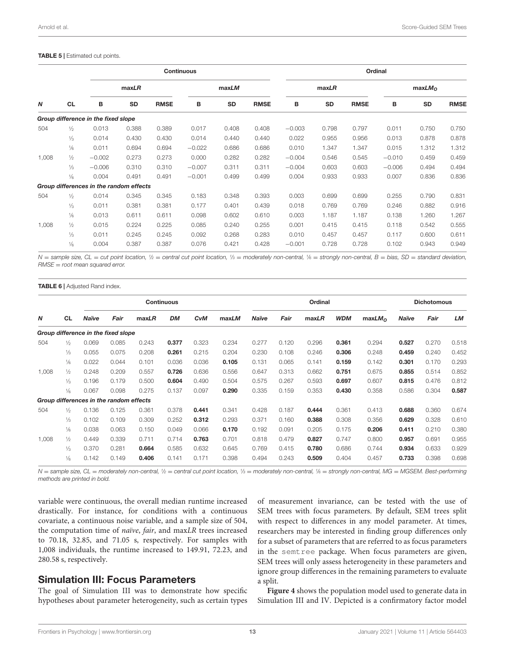#### <span id="page-12-0"></span>TABLE 5 | Estimated cut points.

|                  |               |                                         |           |             | <b>Continuous</b> |       |             |          |       |             | Ordinal  |                    |             |
|------------------|---------------|-----------------------------------------|-----------|-------------|-------------------|-------|-------------|----------|-------|-------------|----------|--------------------|-------------|
|                  |               |                                         | maxLR     |             |                   | maxLM |             |          | maxLR |             |          | maxLM <sub>O</sub> |             |
| $\boldsymbol{N}$ | <b>CL</b>     | В                                       | <b>SD</b> | <b>RMSE</b> | В                 | SD    | <b>RMSE</b> | в        | SD    | <b>RMSE</b> | в        | <b>SD</b>          | <b>RMSE</b> |
|                  |               | Group difference in the fixed slope     |           |             |                   |       |             |          |       |             |          |                    |             |
| 504              | $\frac{1}{2}$ | 0.013                                   | 0.388     | 0.389       | 0.017             | 0.408 | 0.408       | $-0.003$ | 0.798 | 0.797       | 0.011    | 0.750              | 0.750       |
|                  | $\frac{1}{3}$ | 0.014                                   | 0.430     | 0.430       | 0.014             | 0.440 | 0.440       | 0.022    | 0.955 | 0.956       | 0.013    | 0.878              | 0.878       |
|                  | $\frac{1}{6}$ | 0.011                                   | 0.694     | 0.694       | $-0.022$          | 0.686 | 0.686       | 0.010    | 1.347 | 1.347       | 0.015    | 1.312              | 1.312       |
| 1,008            | $\frac{1}{2}$ | $-0.002$                                | 0.273     | 0.273       | 0.000             | 0.282 | 0.282       | $-0.004$ | 0.546 | 0.545       | $-0.010$ | 0.459              | 0.459       |
|                  | $\frac{1}{3}$ | $-0.006$                                | 0.310     | 0.310       | $-0.007$          | 0.311 | 0.311       | $-0.004$ | 0.603 | 0.603       | $-0.006$ | 0.494              | 0.494       |
|                  | $\frac{1}{6}$ | 0.004                                   | 0.491     | 0.491       | $-0.001$          | 0.499 | 0.499       | 0.004    | 0.933 | 0.933       | 0.007    | 0.836              | 0.836       |
|                  |               | Group differences in the random effects |           |             |                   |       |             |          |       |             |          |                    |             |
| 504              | $\frac{1}{2}$ | 0.014                                   | 0.345     | 0.345       | 0.183             | 0.348 | 0.393       | 0.003    | 0.699 | 0.699       | 0.255    | 0.790              | 0.831       |
|                  | $\frac{1}{3}$ | 0.011                                   | 0.381     | 0.381       | 0.177             | 0.401 | 0.439       | 0.018    | 0.769 | 0.769       | 0.246    | 0.882              | 0.916       |
|                  | $\frac{1}{6}$ | 0.013                                   | 0.611     | 0.611       | 0.098             | 0.602 | 0.610       | 0.003    | 1.187 | 1.187       | 0.138    | 1.260              | 1.267       |
| 1,008            | $\frac{1}{2}$ | 0.015                                   | 0.224     | 0.225       | 0.085             | 0.240 | 0.255       | 0.001    | 0.415 | 0.415       | 0.118    | 0.542              | 0.555       |
|                  | $\frac{1}{3}$ | 0.011                                   | 0.245     | 0.245       | 0.092             | 0.268 | 0.283       | 0.010    | 0.457 | 0.457       | 0.117    | 0.600              | 0.611       |
|                  | $\frac{1}{6}$ | 0.004                                   | 0.387     | 0.387       | 0.076             | 0.421 | 0.428       | $-0.001$ | 0.728 | 0.728       | 0.102    | 0.943              | 0.949       |

N = sample size, CL = cut point location, 1⁄2 = central cut point location, 1/3 = moderately non-central, 1/6 = strongly non-central, B = bias, SD = standard deviation,  $RMSE = root$  mean squared error.

<span id="page-12-1"></span>**TABLE 6 | Adjusted Rand index.** 

|       |               |                                         |       |       | <b>Continuous</b> |            |       |              |       | Ordinal |            |                    |       | <b>Dichotomous</b> |       |
|-------|---------------|-----------------------------------------|-------|-------|-------------------|------------|-------|--------------|-------|---------|------------|--------------------|-------|--------------------|-------|
| N     | <b>CL</b>     | <b>Naïve</b>                            | Fair  | maxLR | <b>DM</b>         | <b>CvM</b> | maxLM | <b>Naïve</b> | Fair  | maxLR   | <b>WDM</b> | maxLM <sub>O</sub> | Naïve | Fair               | LM    |
|       |               | Group difference in the fixed slope     |       |       |                   |            |       |              |       |         |            |                    |       |                    |       |
| 504   | $\frac{1}{2}$ | 0.069                                   | 0.085 | 0.243 | 0.377             | 0.323      | 0.234 | 0.277        | 0.120 | 0.296   | 0.361      | 0.294              | 0.527 | 0.270              | 0.518 |
|       | $\frac{1}{3}$ | 0.055                                   | 0.075 | 0.208 | 0.261             | 0.215      | 0.204 | 0.230        | 0.108 | 0.246   | 0.306      | 0.248              | 0.459 | 0.240              | 0.452 |
|       | $\frac{1}{6}$ | 0.022                                   | 0.044 | 0.101 | 0.036             | 0.036      | 0.105 | 0.131        | 0.065 | 0.141   | 0.159      | 0.142              | 0.301 | 0.170              | 0.293 |
| 1,008 | $\frac{1}{2}$ | 0.248                                   | 0.209 | 0.557 | 0.726             | 0.636      | 0.556 | 0.647        | 0.313 | 0.662   | 0.751      | 0.675              | 0.855 | 0.514              | 0.852 |
|       | $\frac{1}{3}$ | 0.196                                   | 0.179 | 0.500 | 0.604             | 0.490      | 0.504 | 0.575        | 0.267 | 0.593   | 0.697      | 0.607              | 0.815 | 0.476              | 0.812 |
|       | $\frac{1}{6}$ | 0.067                                   | 0.098 | 0.275 | 0.137             | 0.097      | 0.290 | 0.335        | 0.159 | 0.353   | 0.430      | 0.358              | 0.586 | 0.304              | 0.587 |
|       |               | Group differences in the random effects |       |       |                   |            |       |              |       |         |            |                    |       |                    |       |
| 504   | $\frac{1}{2}$ | 0.136                                   | 0.125 | 0.361 | 0.378             | 0.441      | 0.341 | 0.428        | 0.187 | 0.444   | 0.361      | 0.413              | 0.688 | 0.360              | 0.674 |
|       | $\frac{1}{3}$ | 0.102                                   | 0.109 | 0.309 | 0.252             | 0.312      | 0.293 | 0.371        | 0.160 | 0.388   | 0.308      | 0.356              | 0.629 | 0.328              | 0.610 |
|       | $\frac{1}{6}$ | 0.038                                   | 0.063 | 0.150 | 0.049             | 0.066      | 0.170 | 0.192        | 0.091 | 0.205   | 0.175      | 0.206              | 0.411 | 0.210              | 0.380 |
| 1,008 | $\frac{1}{2}$ | 0.449                                   | 0.339 | 0.711 | 0.714             | 0.763      | 0.701 | 0.818        | 0.479 | 0.827   | 0.747      | 0.800              | 0.957 | 0.691              | 0.955 |
|       | $\frac{1}{3}$ | 0.370                                   | 0.281 | 0.664 | 0.585             | 0.632      | 0.645 | 0.769        | 0.415 | 0.780   | 0.686      | 0.744              | 0.934 | 0.633              | 0.929 |
|       | $\frac{1}{6}$ | 0.142                                   | 0.149 | 0.406 | 0.141             | 0.171      | 0.398 | 0.494        | 0.243 | 0.509   | 0.404      | 0.457              | 0.733 | 0.398              | 0.698 |

N = sample size, CL = moderately non-central, 1/2 = central cut point location, 1/3 = moderately non-central, 1/6 = strongly non-central, MG = MGSEM. Best-performing methods are printed in bold.

variable were continuous, the overall median runtime increased drastically. For instance, for conditions with a continuous covariate, a continuous noise variable, and a sample size of 504, the computation time of naïve, fair, and maxLR trees increased to 70.18, 32.85, and 71.05 s, respectively. For samples with 1,008 individuals, the runtime increased to 149.91, 72.23, and 280.58 s, respectively.

## Simulation III: Focus Parameters

The goal of Simulation III was to demonstrate how specific hypotheses about parameter heterogeneity, such as certain types

of measurement invariance, can be tested with the use of SEM trees with focus parameters. By default, SEM trees split with respect to differences in any model parameter. At times, researchers may be interested in finding group differences only for a subset of parameters that are referred to as focus parameters in the semtree package. When focus parameters are given, SEM trees will only assess heterogeneity in these parameters and ignore group differences in the remaining parameters to evaluate a split.

**[Figure 4](#page-13-0)** shows the population model used to generate data in Simulation III and IV. Depicted is a confirmatory factor model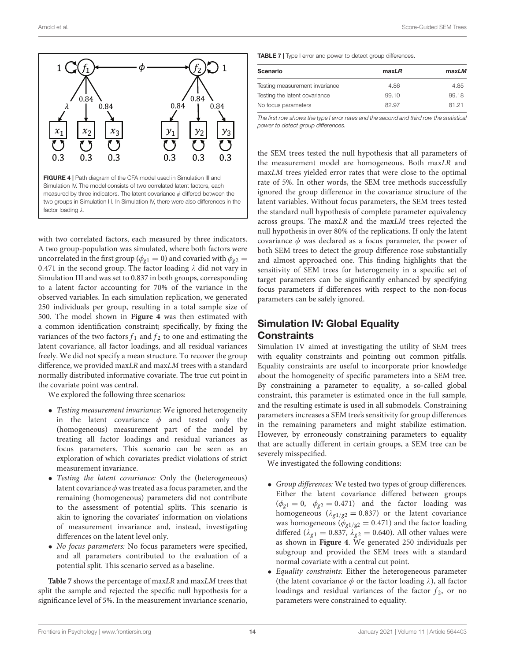

<span id="page-13-0"></span>with two correlated factors, each measured by three indicators. A two group-population was simulated, where both factors were uncorrelated in the first group ( $\phi_{g1} = 0$ ) and covaried with  $\phi_{g2} =$ 0.471 in the second group. The factor loading  $\lambda$  did not vary in Simulation III and was set to 0.837 in both groups, corresponding to a latent factor accounting for 70% of the variance in the observed variables. In each simulation replication, we generated 250 individuals per group, resulting in a total sample size of 500. The model shown in **[Figure 4](#page-13-0)** was then estimated with a common identification constraint; specifically, by fixing the variances of the two factors  $f_1$  and  $f_2$  to one and estimating the latent covariance, all factor loadings, and all residual variances freely. We did not specify a mean structure. To recover the group difference, we provided maxLR and maxLM trees with a standard normally distributed informative covariate. The true cut point in the covariate point was central.

We explored the following three scenarios:

- Testing measurement invariance: We ignored heterogeneity in the latent covariance  $\phi$  and tested only the (homogeneous) measurement part of the model by treating all factor loadings and residual variances as focus parameters. This scenario can be seen as an exploration of which covariates predict violations of strict measurement invariance.
- Testing the latent covariance: Only the (heterogeneous) latent covariance  $\phi$  was treated as a focus parameter, and the remaining (homogeneous) parameters did not contribute to the assessment of potential splits. This scenario is akin to ignoring the covariates' information on violations of measurement invariance and, instead, investigating differences on the latent level only.
- No focus parameters: No focus parameters were specified, and all parameters contributed to the evaluation of a potential split. This scenario served as a baseline.

**[Table 7](#page-13-1)** shows the percentage of maxLR and maxLM trees that split the sample and rejected the specific null hypothesis for a significance level of 5%. In the measurement invariance scenario,

<span id="page-13-1"></span>TABLE 7 | Type I error and power to detect group differences.

| Scenario                       | maxLR | maxLM |
|--------------------------------|-------|-------|
| Testing measurement invariance | 4.86  | 4.85  |
| Testing the latent covariance  | 99.10 | 99.18 |
| No focus parameters            | 82.97 | 81 21 |

The first row shows the type I error rates and the second and third row the statistical power to detect group differences.

the SEM trees tested the null hypothesis that all parameters of the measurement model are homogeneous. Both maxLR and maxLM trees yielded error rates that were close to the optimal rate of 5%. In other words, the SEM tree methods successfully ignored the group difference in the covariance structure of the latent variables. Without focus parameters, the SEM trees tested the standard null hypothesis of complete parameter equivalency across groups. The maxLR and the maxLM trees rejected the null hypothesis in over 80% of the replications. If only the latent covariance  $\phi$  was declared as a focus parameter, the power of both SEM trees to detect the group difference rose substantially and almost approached one. This finding highlights that the sensitivity of SEM trees for heterogeneity in a specific set of target parameters can be significantly enhanced by specifying focus parameters if differences with respect to the non-focus parameters can be safely ignored.

# Simulation IV: Global Equality **Constraints**

Simulation IV aimed at investigating the utility of SEM trees with equality constraints and pointing out common pitfalls. Equality constraints are useful to incorporate prior knowledge about the homogeneity of specific parameters into a SEM tree. By constraining a parameter to equality, a so-called global constraint, this parameter is estimated once in the full sample, and the resulting estimate is used in all submodels. Constraining parameters increases a SEM tree's sensitivity for group differences in the remaining parameters and might stabilize estimation. However, by erroneously constraining parameters to equality that are actually different in certain groups, a SEM tree can be severely misspecified.

We investigated the following conditions:

- Group differences: We tested two types of group differences. Either the latent covariance differed between groups  $(\phi_{g1} = 0, \phi_{g2} = 0.471)$  and the factor loading was homogeneous ( $\lambda_{g1/g2} = 0.837$ ) or the latent covariance was homogeneous ( $\phi_{g1/g2} = 0.471$ ) and the factor loading differed ( $\lambda_{g1} = 0.837$ ,  $\lambda_{g2} = 0.640$ ). All other values were as shown in **[Figure 4](#page-13-0)**. We generated 250 individuals per subgroup and provided the SEM trees with a standard normal covariate with a central cut point.
- Equality constraints: Either the heterogeneous parameter (the latent covariance  $\phi$  or the factor loading  $\lambda$ ), all factor loadings and residual variances of the factor  $f_2$ , or no parameters were constrained to equality.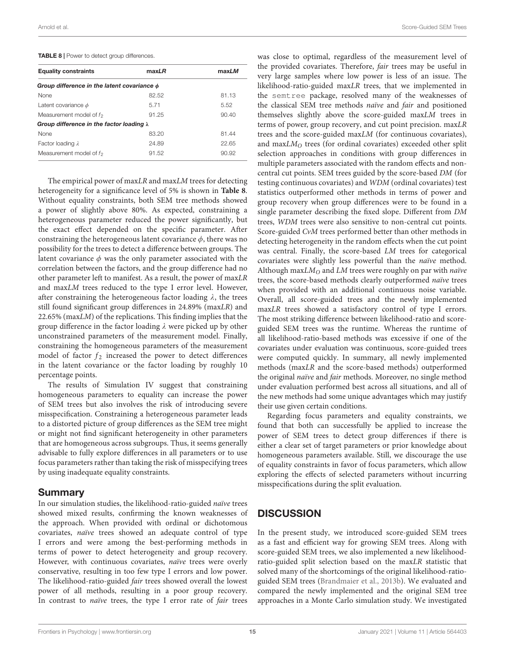<span id="page-14-0"></span>TABLE 8 | Power to detect group differences.

| <b>Equality constraints</b>                      | maxLR | maxLM |  |  |
|--------------------------------------------------|-------|-------|--|--|
| Group difference in the latent covariance $\phi$ |       |       |  |  |
| None                                             | 82.52 | 81.13 |  |  |
| Latent covariance $\phi$                         | 5.71  | 5.52  |  |  |
| Measurement model of $f_2$                       | 91.25 | 90.40 |  |  |
| Group difference in the factor loading $\lambda$ |       |       |  |  |
| None                                             | 83.20 | 81.44 |  |  |
| Factor loading $\lambda$                         | 24.89 | 22.65 |  |  |
| Measurement model of $f_2$                       | 91.52 | 90.92 |  |  |

The empirical power of maxLR and maxLM trees for detecting heterogeneity for a significance level of 5% is shown in **[Table 8](#page-14-0)**. Without equality constraints, both SEM tree methods showed a power of slightly above 80%. As expected, constraining a heterogeneous parameter reduced the power significantly, but the exact effect depended on the specific parameter. After constraining the heterogeneous latent covariance  $\phi$ , there was no possibility for the trees to detect a difference between groups. The latent covariance  $\phi$  was the only parameter associated with the correlation between the factors, and the group difference had no other parameter left to manifest. As a result, the power of maxLR and maxLM trees reduced to the type I error level. However, after constraining the heterogeneous factor loading  $\lambda$ , the trees still found significant group differences in 24.89% (maxLR) and  $22.65\%$  (maxLM) of the replications. This finding implies that the group difference in the factor loading λ were picked up by other unconstrained parameters of the measurement model. Finally, constraining the homogeneous parameters of the measurement model of factor  $f_2$  increased the power to detect differences in the latent covariance or the factor loading by roughly 10 percentage points.

The results of Simulation IV suggest that constraining homogeneous parameters to equality can increase the power of SEM trees but also involves the risk of introducing severe misspecification. Constraining a heterogeneous parameter leads to a distorted picture of group differences as the SEM tree might or might not find significant heterogeneity in other parameters that are homogeneous across subgroups. Thus, it seems generally advisable to fully explore differences in all parameters or to use focus parameters rather than taking the risk of misspecifying trees by using inadequate equality constraints.

## Summary

In our simulation studies, the likelihood-ratio-guided naïve trees showed mixed results, confirming the known weaknesses of the approach. When provided with ordinal or dichotomous covariates, naïve trees showed an adequate control of type I errors and were among the best-performing methods in terms of power to detect heterogeneity and group recovery. However, with continuous covariates, naïve trees were overly conservative, resulting in too few type I errors and low power. The likelihood-ratio-guided fair trees showed overall the lowest power of all methods, resulting in a poor group recovery. In contrast to *naïve* trees, the type I error rate of *fair* trees

was close to optimal, regardless of the measurement level of the provided covariates. Therefore, fair trees may be useful in very large samples where low power is less of an issue. The likelihood-ratio-guided maxLR trees, that we implemented in the semtree package, resolved many of the weaknesses of the classical SEM tree methods naïve and fair and positioned themselves slightly above the score-guided maxLM trees in terms of power, group recovery, and cut point precision. maxLR trees and the score-guided maxLM (for continuous covariates), and  $maxLM<sub>O</sub>$  trees (for ordinal covariates) exceeded other split selection approaches in conditions with group differences in multiple parameters associated with the random effects and noncentral cut points. SEM trees guided by the score-based DM (for testing continuous covariates) and WDM (ordinal covariates) test statistics outperformed other methods in terms of power and group recovery when group differences were to be found in a single parameter describing the fixed slope. Different from DM trees, WDM trees were also sensitive to non-central cut points. Score-guided CvM trees performed better than other methods in detecting heterogeneity in the random effects when the cut point was central. Finally, the score-based LM trees for categorical covariates were slightly less powerful than the naïve method. Although max $LM<sub>O</sub>$  and LM trees were roughly on par with *naïve* trees, the score-based methods clearly outperformed naïve trees when provided with an additional continuous noise variable. Overall, all score-guided trees and the newly implemented maxLR trees showed a satisfactory control of type I errors. The most striking difference between likelihood-ratio and scoreguided SEM trees was the runtime. Whereas the runtime of all likelihood-ratio-based methods was excessive if one of the covariates under evaluation was continuous, score-guided trees were computed quickly. In summary, all newly implemented methods (maxLR and the score-based methods) outperformed the original naïve and fair methods. Moreover, no single method under evaluation performed best across all situations, and all of the new methods had some unique advantages which may justify their use given certain conditions.

Regarding focus parameters and equality constraints, we found that both can successfully be applied to increase the power of SEM trees to detect group differences if there is either a clear set of target parameters or prior knowledge about homogeneous parameters available. Still, we discourage the use of equality constraints in favor of focus parameters, which allow exploring the effects of selected parameters without incurring misspecifications during the split evaluation.

# **DISCUSSION**

In the present study, we introduced score-guided SEM trees as a fast and efficient way for growing SEM trees. Along with score-guided SEM trees, we also implemented a new likelihoodratio-guided split selection based on the maxLR statistic that solved many of the shortcomings of the original likelihood-ratioguided SEM trees [\(Brandmaier et al.,](#page-16-6) [2013b\)](#page-16-6). We evaluated and compared the newly implemented and the original SEM tree approaches in a Monte Carlo simulation study. We investigated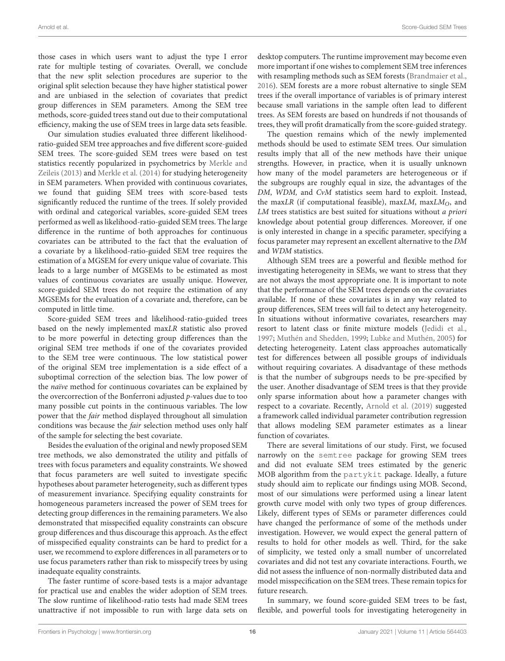those cases in which users want to adjust the type I error rate for multiple testing of covariates. Overall, we conclude that the new split selection procedures are superior to the original split selection because they have higher statistical power and are unbiased in the selection of covariates that predict group differences in SEM parameters. Among the SEM tree methods, score-guided trees stand out due to their computational efficiency, making the use of SEM trees in large data sets feasible.

Our simulation studies evaluated three different likelihoodratio-guided SEM tree approaches and five different score-guided SEM trees. The score-guided SEM trees were based on test statistics recently popularized in psychometrics by [Merkle and](#page-16-0) [Zeileis](#page-16-0) [\(2013\)](#page-16-0) and [Merkle et al.](#page-16-1) [\(2014\)](#page-16-1) for studying heterogeneity in SEM parameters. When provided with continuous covariates, we found that guiding SEM trees with score-based tests significantly reduced the runtime of the trees. If solely provided with ordinal and categorical variables, score-guided SEM trees performed as well as likelihood-ratio-guided SEM trees. The large difference in the runtime of both approaches for continuous covariates can be attributed to the fact that the evaluation of a covariate by a likelihood-ratio-guided SEM tree requires the estimation of a MGSEM for every unique value of covariate. This leads to a large number of MGSEMs to be estimated as most values of continuous covariates are usually unique. However, score-guided SEM trees do not require the estimation of any MGSEMs for the evaluation of a covariate and, therefore, can be computed in little time.

Score-guided SEM trees and likelihood-ratio-guided trees based on the newly implemented maxLR statistic also proved to be more powerful in detecting group differences than the original SEM tree methods if one of the covariates provided to the SEM tree were continuous. The low statistical power of the original SEM tree implementation is a side effect of a suboptimal correction of the selection bias. The low power of the naïve method for continuous covariates can be explained by the overcorrection of the Bonferroni adjusted p-values due to too many possible cut points in the continuous variables. The low power that the fair method displayed throughout all simulation conditions was because the fair selection method uses only half of the sample for selecting the best covariate.

Besides the evaluation of the original and newly proposed SEM tree methods, we also demonstrated the utility and pitfalls of trees with focus parameters and equality constraints. We showed that focus parameters are well suited to investigate specific hypotheses about parameter heterogeneity, such as different types of measurement invariance. Specifying equality constraints for homogeneous parameters increased the power of SEM trees for detecting group differences in the remaining parameters. We also demonstrated that misspecified equality constraints can obscure group differences and thus discourage this approach. As the effect of misspecified equality constraints can be hard to predict for a user, we recommend to explore differences in all parameters or to use focus parameters rather than risk to misspecify trees by using inadequate equality constraints.

The faster runtime of score-based tests is a major advantage for practical use and enables the wider adoption of SEM trees. The slow runtime of likelihood-ratio tests had made SEM trees unattractive if not impossible to run with large data sets on desktop computers. The runtime improvement may become even more important if one wishes to complement SEM tree inferences with resampling methods such as SEM forests [\(Brandmaier et al.,](#page-16-8) [2016\)](#page-16-8). SEM forests are a more robust alternative to single SEM trees if the overall importance of variables is of primary interest because small variations in the sample often lead to different trees. As SEM forests are based on hundreds if not thousands of trees, they will profit dramatically from the score-guided strategy.

The question remains which of the newly implemented methods should be used to estimate SEM trees. Our simulation results imply that all of the new methods have their unique strengths. However, in practice, when it is usually unknown how many of the model parameters are heterogeneous or if the subgroups are roughly equal in size, the advantages of the DM, WDM, and CvM statistics seem hard to exploit. Instead, the maxLR (if computational feasible), maxLM, maxLM<sub>O</sub>, and LM trees statistics are best suited for situations without a priori knowledge about potential group differences. Moreover, if one is only interested in change in a specific parameter, specifying a focus parameter may represent an excellent alternative to the DM and WDM statistics.

Although SEM trees are a powerful and flexible method for investigating heterogeneity in SEMs, we want to stress that they are not always the most appropriate one. It is important to note that the performance of the SEM trees depends on the covariates available. If none of these covariates is in any way related to group differences, SEM trees will fail to detect any heterogeneity. In situations without informative covariates, researchers may resort to latent class or finite mixture models [\(Jedidi et al.,](#page-16-29) [1997;](#page-16-29) [Muthén and Shedden,](#page-17-20) [1999;](#page-17-20) [Lubke and Muthén,](#page-16-30) [2005\)](#page-16-30) for detecting heterogeneity. Latent class approaches automatically test for differences between all possible groups of individuals without requiring covariates. A disadvantage of these methods is that the number of subgroups needs to be pre-specified by the user. Another disadvantage of SEM trees is that they provide only sparse information about how a parameter changes with respect to a covariate. Recently, [Arnold et al.](#page-16-31) [\(2019\)](#page-16-31) suggested a framework called individual parameter contribution regression that allows modeling SEM parameter estimates as a linear function of covariates.

There are several limitations of our study. First, we focused narrowly on the semtree package for growing SEM trees and did not evaluate SEM trees estimated by the generic MOB algorithm from the partykit package. Ideally, a future study should aim to replicate our findings using MOB. Second, most of our simulations were performed using a linear latent growth curve model with only two types of group differences. Likely, different types of SEMs or parameter differences could have changed the performance of some of the methods under investigation. However, we would expect the general pattern of results to hold for other models as well. Third, for the sake of simplicity, we tested only a small number of uncorrelated covariates and did not test any covariate interactions. Fourth, we did not assess the influence of non-normally distributed data and model misspecification on the SEM trees. These remain topics for future research.

In summary, we found score-guided SEM trees to be fast, flexible, and powerful tools for investigating heterogeneity in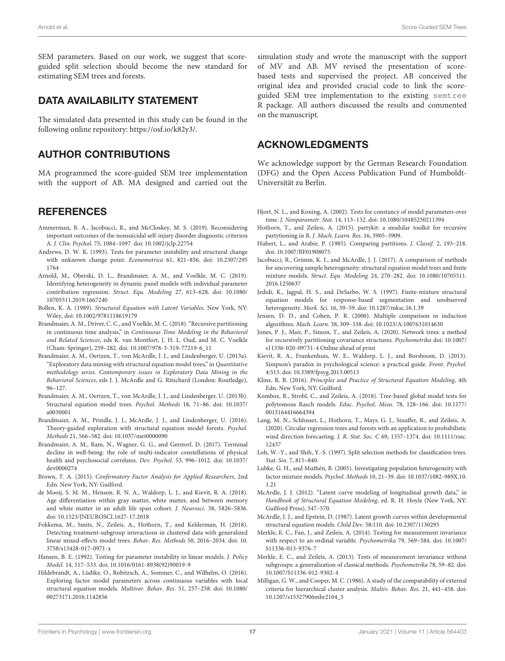SEM parameters. Based on our work, we suggest that scoreguided split selection should become the new standard for estimating SEM trees and forests.

## DATA AVAILABILITY STATEMENT

The simulated data presented in this study can be found in the following online repository: [https://osf.io/k82y3/.](https://osf.io/k82y3/)

## AUTHOR CONTRIBUTIONS

MA programmed the score-guided SEM tree implementation with the support of AB. MA designed and carried out the

### **REFERENCES**

- <span id="page-16-13"></span>Ammerman, B. A., Jacobucci, R., and McCloskey, M. S. (2019). Reconsidering important outcomes of the nonsuicidal self-injury disorder diagnostic criterion A. J. Clin. Psychol. 75, 1084–1097. [doi: 10.1002/jclp.22754](https://doi.org/10.1002/jclp.22754)
- <span id="page-16-23"></span>Andrews, D. W. K. (1993). Tests for parameter instability and structural change with unknown change point. Econometrica 61, 821–856. [doi: 10.2307/295](https://doi.org/10.2307/2951764) [1764](https://doi.org/10.2307/2951764)
- <span id="page-16-31"></span>Arnold, M., Oberski, D. L., Brandmaier, A. M., and Voelkle, M. C. (2019). Identifying heterogeneity in dynamic panel models with individual parameter contribution regression. Struct. Equ. Modeling 27, 613–628. [doi: 10.1080/](https://doi.org/10.1080/10705511.2019.1667240) [10705511.2019.1667240](https://doi.org/10.1080/10705511.2019.1667240)
- <span id="page-16-2"></span>Bollen, K. A. (1989). Structural Equation with Latent Variables. New York, NY: Wiley, [doi: 10.1002/9781118619179](https://doi.org/10.1002/9781118619179)
- <span id="page-16-10"></span>Brandmaier, A. M., Driver, C. C., and Voelkle, M. C. (2018). "Recursive partitioning in continuous time analysis," in Continuous Time Modeling in the Behavioral and Related Sciences, eds K. van Montfort, J. H. L. Oud, and M. C. Voelkle (Cham: Springer), 259–282. [doi: 10.1007/978-3-319-77219-6\\_11](https://doi.org/10.1007/978-3-319-77219-6_11)
- <span id="page-16-7"></span>Brandmaier, A. M., Oertzen, T., von McArdle, J. J., and Lindenberger, U. (2013a). "Exploratory data mining with structural equation model trees," in Quantitative methodology series. Contemporary issues in Exploratory Data Mining in the Behavioral Sciences, eds J. J. McArdle and G. Ritschard (London: Routledge), 96–127.
- <span id="page-16-6"></span>Brandmaier, A. M., Oertzen, T., von McArdle, J. J., and Lindenberger, U. (2013b). Structural equation model trees. Psychol. Methods 18, 71–86. [doi: 10.1037/](https://doi.org/10.1037/a0030001) [a0030001](https://doi.org/10.1037/a0030001)
- <span id="page-16-8"></span>Brandmaier, A. M., Prindle, J. J., McArdle, J. J., and Lindenberger, U. (2016). Theory-guided exploration with structural equation model forests. Psychol. Methods 21, 566–582. [doi: 10.1037/met0000090](https://doi.org/10.1037/met0000090)
- <span id="page-16-9"></span>Brandmaier, A. M., Ram, N., Wagner, G. G., and Gerstorf, D. (2017). Terminal decline in well-being: the role of multi-indicator constellations of physical health and psychosocial correlates. Dev. Psychol. 53, 996–1012. [doi: 10.1037/](https://doi.org/10.1037/dev0000274) [dev0000274](https://doi.org/10.1037/dev0000274)
- <span id="page-16-20"></span>Brown, T. A. (2015). Confirmatory Factor Analysis for Applied Researchers, 2nd Edn. New York, NY: Guilford.
- <span id="page-16-12"></span>de Mooij, S. M. M., Henson, R. N. A., Waldorp, L. J., and Kievit, R. A. (2018). Age differentiation within gray matter, white matter, and between memory and white matter in an adult life span cohort. J. Neurosci. 38, 5826–5836. [doi: 10.1523/JNEUROSCI.1627-17.2018](https://doi.org/10.1523/JNEUROSCI.1627-17.2018)
- <span id="page-16-16"></span>Fokkema, M., Smits, N., Zeileis, A., Hothorn, T., and Kelderman, H. (2018). Detecting treatment-subgroup interactions in clustered data with generalized linear mixed-effects model trees. Behav. Res. Methods 50, 2016–2034. [doi: 10.](https://doi.org/10.3758/s13428-017-0971-x) [3758/s13428-017-0971-x](https://doi.org/10.3758/s13428-017-0971-x)
- <span id="page-16-24"></span>Hansen, B. E. (1992). Testing for parameter instability in linear models. J. Policy Model. 14, 517–533. [doi: 10.1016/0161-8938\(92\)90019-9](https://doi.org/10.1016/0161-8938(92)90019-9)
- <span id="page-16-5"></span>Hildebrandt, A., Lüdtke, O., Robitzsch, A., Sommer, C., and Wilhelm, O. (2016). Exploring factor model parameters across continuous variables with local structural equation models. Multivar. Behav. Res. 51, 257–258. [doi: 10.1080/](https://doi.org/10.1080/00273171.2016.1142856) [00273171.2016.1142856](https://doi.org/10.1080/00273171.2016.1142856)

simulation study and wrote the manuscript with the support of MV and AB. MV revised the presentation of scorebased tests and supervised the project. AB conceived the original idea and provided crucial code to link the scoreguided SEM tree implementation to the existing semtree R package. All authors discussed the results and commented on the manuscript.

## ACKNOWLEDGMENTS

We acknowledge support by the German Research Foundation (DFG) and the Open Access Publication Fund of Humboldt-Universität zu Berlin.

- <span id="page-16-25"></span>Hjort, N. L., and Koning, A. (2002). Tests for constancy of model parameters over time. J. Nonparametr. Stat. 14, 113–132. [doi: 10.1080/10485250211394](https://doi.org/10.1080/10485250211394)
- <span id="page-16-14"></span>Hothorn, T., and Zeileis, A. (2015). partykit: a modular toolkit for recursive partytioning in R. J. Mach. Learn. Res. 16, 3905–3909.
- <span id="page-16-27"></span>Hubert, L., and Arabie, P. (1985). Comparing partitions. J. Classif. 2, 193–218. [doi: 10.1007/BF01908075](https://doi.org/10.1007/BF01908075)
- <span id="page-16-11"></span>Jacobucci, R., Grimm, K. J., and McArdle, J. J. (2017). A comparison of methods for uncovering sample heterogeneity: structural equation model trees and finite mixture models. Struct. Equ. Modeling 24, 270–282. [doi: 10.1080/10705511.](https://doi.org/10.1080/10705511.2016.1250637) [2016.1250637](https://doi.org/10.1080/10705511.2016.1250637)
- <span id="page-16-29"></span>Jedidi, K., Jagpal, H. S., and DeSarbo, W. S. (1997). Finite-mixture structural equation models for response-based segmentation and unobserved heterogeneity. Mark. Sci. 16, 39–59. [doi: 10.1287/mksc.16.1.39](https://doi.org/10.1287/mksc.16.1.39)
- <span id="page-16-19"></span>Jensen, D. D., and Cohen, P. R. (2000). Multiple comparison in induction algorithms. Mach. Learn. 38, 309–338. [doi: 10.1023/A:1007631014630](https://doi.org/10.1023/A:1007631014630)
- <span id="page-16-17"></span>Jones, P. J., Mair, P., Simon, T., and Zeileis, A. (2020). Network trees: a method for recursively partitioning covariance structures. Psychometrika [doi: 10.1007/](https://doi.org/10.1007/s11336-020-09731-4) [s11336-020-09731-4](https://doi.org/10.1007/s11336-020-09731-4) Online ahead of print
- <span id="page-16-4"></span>Kievit, R. A., Frankenhuis, W. E., Waldorp, L. J., and Borsboom, D. (2013). Simpson's paradox in psychological science: a practical guide. Front. Psychol. 4:513. [doi: 10.3389/fpsyg.2013.00513](https://doi.org/10.3389/fpsyg.2013.00513)
- <span id="page-16-3"></span>Kline, R. B. (2016). Principles and Practice of Structural Equation Modeling, 4th Edn. New York, NY: Guilford.
- <span id="page-16-15"></span>Komboz, B., Strobl, C., and Zeileis, A. (2018). Tree-based global model tests for polytomous Rasch models. Educ. Psychol. Meas. 78, 128–166. [doi: 10.1177/](https://doi.org/10.1177/0013164416664394) [0013164416664394](https://doi.org/10.1177/0013164416664394)
- <span id="page-16-18"></span>Lang, M. N., Schlosser, L., Hothorn, T., Mayr, G. J., Stauffer, R., and Zeileis, A. (2020). Circular regression trees and forests with an application to probabilistic wind direction forecasting. J. R. Stat. Soc. C 69, 1357–1374. [doi: 10.1111/rssc.](https://doi.org/10.1111/rssc.12437) [12437](https://doi.org/10.1111/rssc.12437)
- <span id="page-16-22"></span>Loh, W.-Y., and Shih, Y.-S. (1997). Split selection methods for classification trees. Stat. Sin. 7, 815–840.
- <span id="page-16-30"></span>Lubke, G. H., and Muthén, B. (2005). Investigating population heterogeneity with factor mixture models. Psychol. Methods 10, 21–39. [doi: 10.1037/1082-989X.10.](https://doi.org/10.1037/1082-989X.10.1.21) [1.21](https://doi.org/10.1037/1082-989X.10.1.21)
- <span id="page-16-21"></span>McArdle, J. J. (2012). "Latent curve modeling of longitudinal growth data," in Handbook of Structural Equation Modeling, ed. R. H. Hoyle (New York, NY: Guilford Press), 547–570.
- <span id="page-16-26"></span>McArdle, J. J., and Epstein, D. (1987). Latent growth curves within developmental structural equation models. Child Dev. 58:110. [doi: 10.2307/1130295](https://doi.org/10.2307/1130295)
- <span id="page-16-1"></span>Merkle, E. C., Fan, J., and Zeileis, A. (2014). Testing for measurement invariance with respect to an ordinal variable. Psychometrika 79, 569–584. [doi: 10.1007/](https://doi.org/10.1007/S11336-013-9376-7) [S11336-013-9376-7](https://doi.org/10.1007/S11336-013-9376-7)
- <span id="page-16-0"></span>Merkle, E. C., and Zeileis, A. (2013). Tests of measurement invariance without subgroups: a generalization of classical methods. Psychometrika 78, 59–82. [doi:](https://doi.org/10.1007/S11336-012-9302-4) [10.1007/S11336-012-9302-4](https://doi.org/10.1007/S11336-012-9302-4)
- <span id="page-16-28"></span>Milligan, G. W., and Cooper, M. C. (1986). A study of the comparability of external criteria for hierarchical cluster analysis. Multiv. Behav. Res. 21, 441–458. [doi:](https://doi.org/10.1207/s15327906mbr2104_5) [10.1207/s15327906mbr2104\\_5](https://doi.org/10.1207/s15327906mbr2104_5)